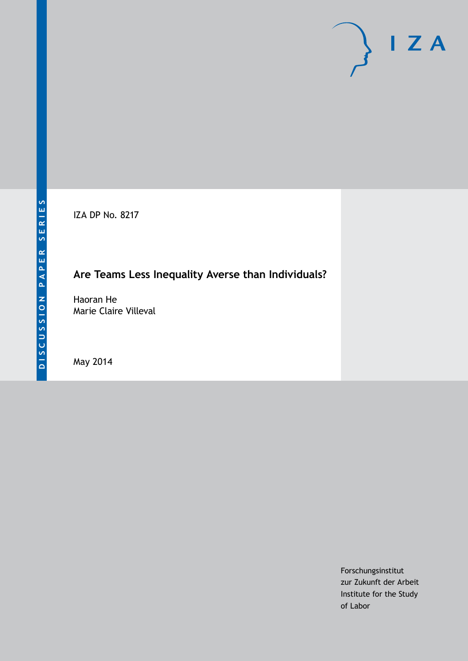IZA DP No. 8217

## **Are Teams Less Inequality Averse than Individuals?**

Haoran He Marie Claire Villeval

May 2014

Forschungsinstitut zur Zukunft der Arbeit Institute for the Study of Labor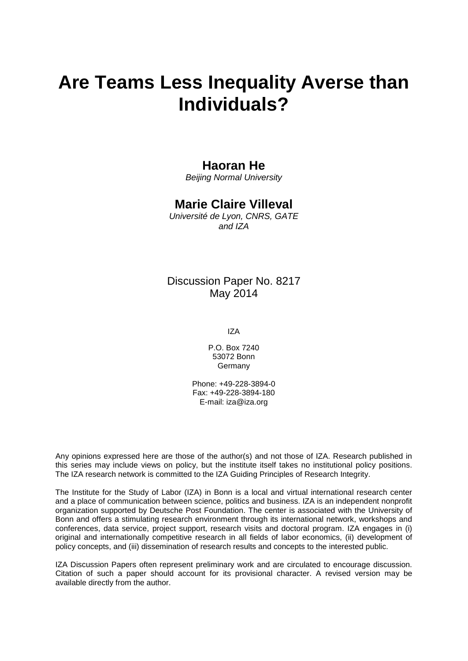# **Are Teams Less Inequality Averse than Individuals?**

## **Haoran He**

*Beijing Normal University*

## **Marie Claire Villeval**

*Université de Lyon, CNRS, GATE and IZA*

## Discussion Paper No. 8217 May 2014

IZA

P.O. Box 7240 53072 Bonn Germany

Phone: +49-228-3894-0 Fax: +49-228-3894-180 E-mail: [iza@iza.org](mailto:iza@iza.org)

Any opinions expressed here are those of the author(s) and not those of IZA. Research published in this series may include views on policy, but the institute itself takes no institutional policy positions. The IZA research network is committed to the IZA Guiding Principles of Research Integrity.

The Institute for the Study of Labor (IZA) in Bonn is a local and virtual international research center and a place of communication between science, politics and business. IZA is an independent nonprofit organization supported by Deutsche Post Foundation. The center is associated with the University of Bonn and offers a stimulating research environment through its international network, workshops and conferences, data service, project support, research visits and doctoral program. IZA engages in (i) original and internationally competitive research in all fields of labor economics, (ii) development of policy concepts, and (iii) dissemination of research results and concepts to the interested public.

<span id="page-1-0"></span>IZA Discussion Papers often represent preliminary work and are circulated to encourage discussion. Citation of such a paper should account for its provisional character. A revised version may be available directly from the author.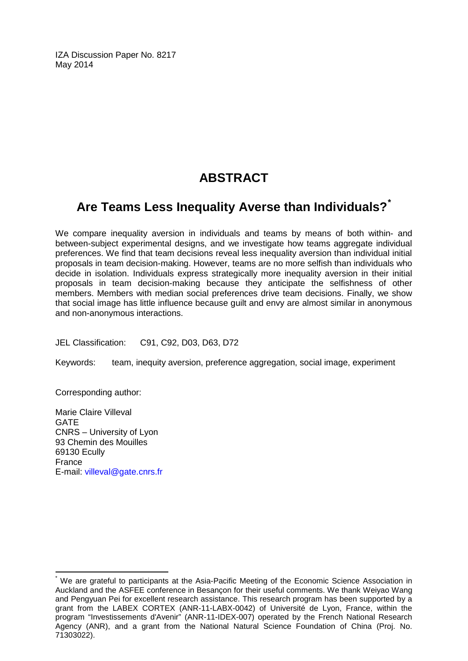IZA Discussion Paper No. 8217 May 2014

## **ABSTRACT**

## **Are Teams Less Inequality Averse than Individuals?[\\*](#page-1-0)**

We compare inequality aversion in individuals and teams by means of both within- and between-subject experimental designs, and we investigate how teams aggregate individual preferences. We find that team decisions reveal less inequality aversion than individual initial proposals in team decision-making. However, teams are no more selfish than individuals who decide in isolation. Individuals express strategically more inequality aversion in their initial proposals in team decision-making because they anticipate the selfishness of other members. Members with median social preferences drive team decisions. Finally, we show that social image has little influence because guilt and envy are almost similar in anonymous and non-anonymous interactions.

JEL Classification: C91, C92, D03, D63, D72

Keywords: team, inequity aversion, preference aggregation, social image, experiment

Corresponding author:

Marie Claire Villeval GATE CNRS – University of Lyon 93 Chemin des Mouilles 69130 Ecully France E-mail: [villeval@gate.cnrs.fr](mailto:villeval@gate.cnrs.fr)

We are grateful to participants at the Asia-Pacific Meeting of the Economic Science Association in Auckland and the ASFEE conference in Besançon for their useful comments. We thank Weiyao Wang and Pengyuan Pei for excellent research assistance. This research program has been supported by a grant from the LABEX CORTEX (ANR-11-LABX-0042) of Université de Lyon, France, within the program "Investissements d'Avenir" (ANR-11-IDEX-007) operated by the French National Research Agency (ANR), and a grant from the National Natural Science Foundation of China (Proj. No. 71303022).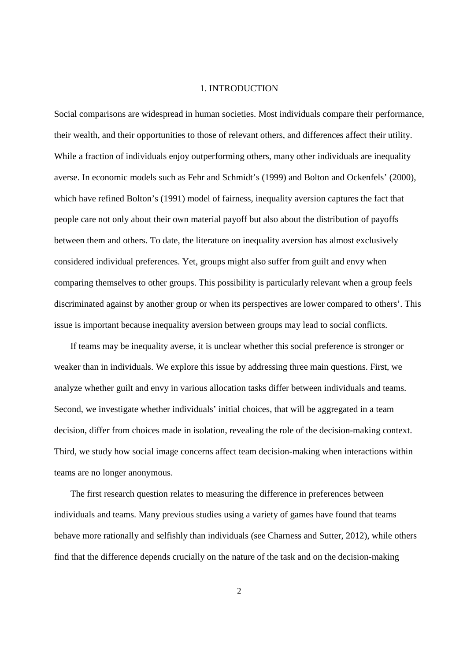### 1. INTRODUCTION

Social comparisons are widespread in human societies. Most individuals compare their performance, their wealth, and their opportunities to those of relevant others, and differences affect their utility. While a fraction of individuals enjoy outperforming others, many other individuals are inequality averse. In economic models such as Fehr and Schmidt's (1999) and Bolton and Ockenfels' (2000), which have refined Bolton's (1991) model of fairness, inequality aversion captures the fact that people care not only about their own material payoff but also about the distribution of payoffs between them and others. To date, the literature on inequality aversion has almost exclusively considered individual preferences. Yet, groups might also suffer from guilt and envy when comparing themselves to other groups. This possibility is particularly relevant when a group feels discriminated against by another group or when its perspectives are lower compared to others'. This issue is important because inequality aversion between groups may lead to social conflicts.

If teams may be inequality averse, it is unclear whether this social preference is stronger or weaker than in individuals. We explore this issue by addressing three main questions. First, we analyze whether guilt and envy in various allocation tasks differ between individuals and teams. Second, we investigate whether individuals' initial choices, that will be aggregated in a team decision, differ from choices made in isolation, revealing the role of the decision-making context. Third, we study how social image concerns affect team decision-making when interactions within teams are no longer anonymous.

The first research question relates to measuring the difference in preferences between individuals and teams. Many previous studies using a variety of games have found that teams behave more rationally and selfishly than individuals (see Charness and Sutter, 2012), while others find that the difference depends crucially on the nature of the task and on the decision-making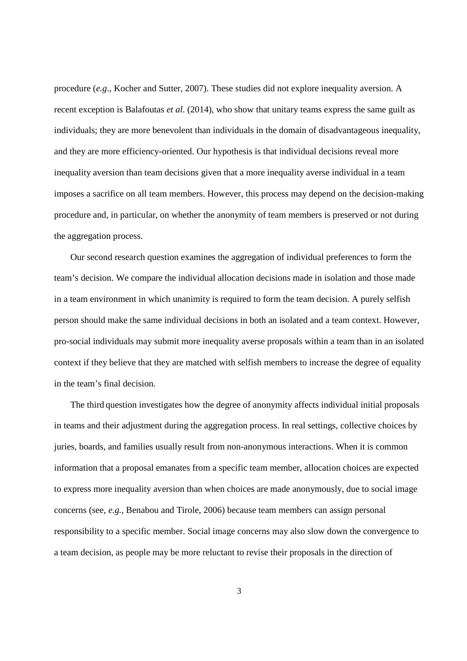procedure (*e.g*., Kocher and Sutter, 2007). These studies did not explore inequality aversion. A recent exception is Balafoutas *et al*. (2014), who show that unitary teams express the same guilt as individuals; they are more benevolent than individuals in the domain of disadvantageous inequality, and they are more efficiency-oriented. Our hypothesis is that individual decisions reveal more inequality aversion than team decisions given that a more inequality averse individual in a team imposes a sacrifice on all team members. However, this process may depend on the decision-making procedure and, in particular, on whether the anonymity of team members is preserved or not during the aggregation process.

Our second research question examines the aggregation of individual preferences to form the team's decision. We compare the individual allocation decisions made in isolation and those made in a team environment in which unanimity is required to form the team decision. A purely selfish person should make the same individual decisions in both an isolated and a team context. However, pro-social individuals may submit more inequality averse proposals within a team than in an isolated context if they believe that they are matched with selfish members to increase the degree of equality in the team's final decision.

The third question investigates how the degree of anonymity affects individual initial proposals in teams and their adjustment during the aggregation process. In real settings, collective choices by juries, boards, and families usually result from non-anonymous interactions. When it is common information that a proposal emanates from a specific team member, allocation choices are expected to express more inequality aversion than when choices are made anonymously, due to social image concerns (see, *e.g.,* Benabou and Tirole, 2006) because team members can assign personal responsibility to a specific member. Social image concerns may also slow down the convergence to a team decision, as people may be more reluctant to revise their proposals in the direction of

3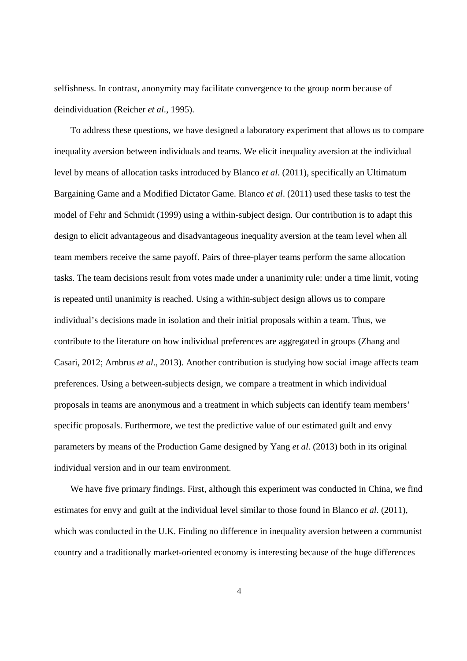selfishness. In contrast, anonymity may facilitate convergence to the group norm because of deindividuation (Reicher *et al*., 1995).

To address these questions, we have designed a laboratory experiment that allows us to compare inequality aversion between individuals and teams. We elicit inequality aversion at the individual level by means of allocation tasks introduced by Blanco *et al*. (2011), specifically an Ultimatum Bargaining Game and a Modified Dictator Game. Blanco *et al*. (2011) used these tasks to test the model of Fehr and Schmidt (1999) using a within-subject design. Our contribution is to adapt this design to elicit advantageous and disadvantageous inequality aversion at the team level when all team members receive the same payoff. Pairs of three-player teams perform the same allocation tasks. The team decisions result from votes made under a unanimity rule: under a time limit, voting is repeated until unanimity is reached. Using a within-subject design allows us to compare individual's decisions made in isolation and their initial proposals within a team. Thus, we contribute to the literature on how individual preferences are aggregated in groups (Zhang and Casari, 2012; Ambrus *et al*., 2013). Another contribution is studying how social image affects team preferences. Using a between-subjects design, we compare a treatment in which individual proposals in teams are anonymous and a treatment in which subjects can identify team members' specific proposals. Furthermore, we test the predictive value of our estimated guilt and envy parameters by means of the Production Game designed by Yang *et al*. (2013) both in its original individual version and in our team environment.

We have five primary findings. First, although this experiment was conducted in China, we find estimates for envy and guilt at the individual level similar to those found in Blanco *et al*. (2011), which was conducted in the U.K. Finding no difference in inequality aversion between a communist country and a traditionally market-oriented economy is interesting because of the huge differences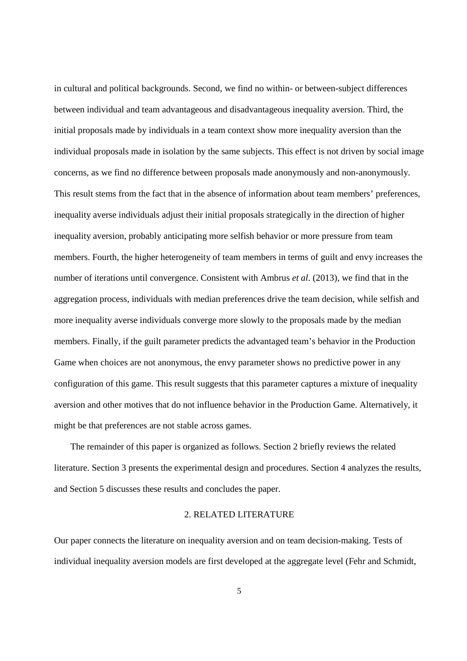in cultural and political backgrounds. Second, we find no within- or between-subject differences between individual and team advantageous and disadvantageous inequality aversion. Third, the initial proposals made by individuals in a team context show more inequality aversion than the individual proposals made in isolation by the same subjects. This effect is not driven by social image concerns, as we find no difference between proposals made anonymously and non-anonymously. This result stems from the fact that in the absence of information about team members' preferences, inequality averse individuals adjust their initial proposals strategically in the direction of higher inequality aversion, probably anticipating more selfish behavior or more pressure from team members. Fourth, the higher heterogeneity of team members in terms of guilt and envy increases the number of iterations until convergence. Consistent with Ambrus *et al*. (2013), we find that in the aggregation process, individuals with median preferences drive the team decision, while selfish and more inequality averse individuals converge more slowly to the proposals made by the median members. Finally, if the guilt parameter predicts the advantaged team's behavior in the Production Game when choices are not anonymous, the envy parameter shows no predictive power in any configuration of this game. This result suggests that this parameter captures a mixture of inequality aversion and other motives that do not influence behavior in the Production Game. Alternatively, it might be that preferences are not stable across games.

The remainder of this paper is organized as follows. Section 2 briefly reviews the related literature. Section 3 presents the experimental design and procedures. Section 4 analyzes the results, and Section 5 discusses these results and concludes the paper.

## 2. RELATED LITERATURE

Our paper connects the literature on inequality aversion and on team decision-making. Tests of individual inequality aversion models are first developed at the aggregate level (Fehr and Schmidt,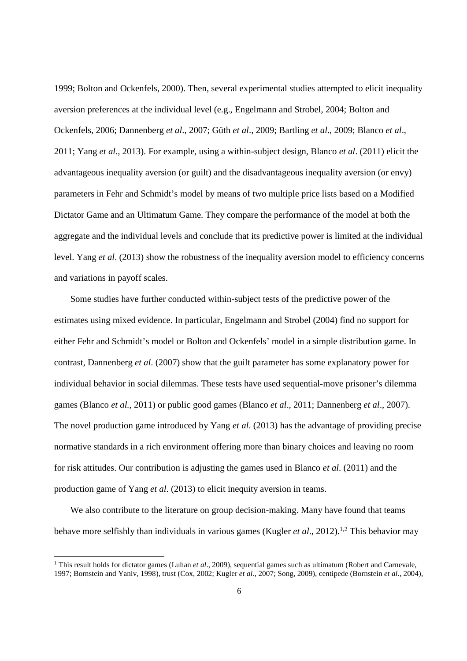1999; Bolton and Ockenfels, 2000). Then, several experimental studies attempted to elicit inequality aversion preferences at the individual level (e.g., Engelmann and Strobel, 2004; Bolton and Ockenfels, 2006; Dannenberg *et al*., 2007; Güth *et al*., 2009; Bartling *et al*., 2009; Blanco *et al*., 2011; Yang *et al*., 2013). For example, using a within-subject design, Blanco *et al*. (2011) elicit the advantageous inequality aversion (or guilt) and the disadvantageous inequality aversion (or envy) parameters in Fehr and Schmidt's model by means of two multiple price lists based on a Modified Dictator Game and an Ultimatum Game. They compare the performance of the model at both the aggregate and the individual levels and conclude that its predictive power is limited at the individual level. Yang *et al*. (2013) show the robustness of the inequality aversion model to efficiency concerns and variations in payoff scales.

Some studies have further conducted within-subject tests of the predictive power of the estimates using mixed evidence. In particular, Engelmann and Strobel (2004) find no support for either Fehr and Schmidt's model or Bolton and Ockenfels' model in a simple distribution game. In contrast, Dannenberg *et al*. (2007) show that the guilt parameter has some explanatory power for individual behavior in social dilemmas. These tests have used sequential-move prisoner's dilemma games (Blanco *et al.,* 2011) or public good games (Blanco *et al*., 2011; Dannenberg *et al*., 2007). The novel production game introduced by Yang *et al*. (2013) has the advantage of providing precise normative standards in a rich environment offering more than binary choices and leaving no room for risk attitudes. Our contribution is adjusting the games used in Blanco *et al*. (2011) and the production game of Yang *et al*. (2013) to elicit inequity aversion in teams.

We also contribute to the literature on group decision-making. Many have found that teams behave more selfishly than individuals in various games (Kugler *et al.*, 2012).<sup>1,2</sup> This behavior may

 $\overline{a}$ 

<sup>&</sup>lt;sup>1</sup> This result holds for dictator games (Luhan *et al.*, 2009), sequential games such as ultimatum (Robert and Carnevale, 1997; Bornstein and Yaniv, 1998), trust (Cox, 2002; Kugler *et al*., 2007; Song, 2009), centipede (Bornstein *et al*., 2004),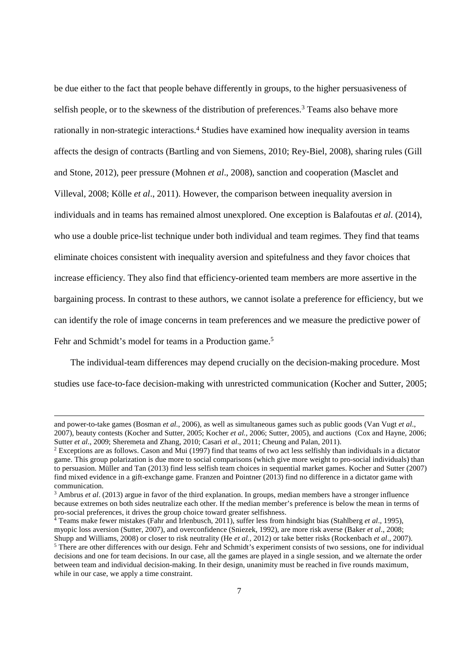be due either to the fact that people behave differently in groups, to the higher persuasiveness of selfish people, or to the skewness of the distribution of preferences.<sup>3</sup> Teams also behave more rationally in non-strategic interactions.<sup>4</sup> Studies have examined how inequality aversion in teams affects the design of contracts (Bartling and von Siemens, 2010; Rey-Biel, 2008), sharing rules (Gill and Stone, 2012), peer pressure (Mohnen *et al*., 2008), sanction and cooperation (Masclet and Villeval, 2008; Kölle *et al*., 2011). However, the comparison between inequality aversion in individuals and in teams has remained almost unexplored. One exception is Balafoutas *et al*. (2014), who use a double price-list technique under both individual and team regimes. They find that teams eliminate choices consistent with inequality aversion and spitefulness and they favor choices that increase efficiency. They also find that efficiency-oriented team members are more assertive in the bargaining process. In contrast to these authors, we cannot isolate a preference for efficiency, but we can identify the role of image concerns in team preferences and we measure the predictive power of Fehr and Schmidt's model for teams in a Production game.<sup>5</sup>

The individual-team differences may depend crucially on the decision-making procedure. Most studies use face-to-face decision-making with unrestricted communication (Kocher and Sutter, 2005;

l

and power-to-take games (Bosman *et al.,* 2006), as well as simultaneous games such as public goods (Van Vugt *et al*., 2007), beauty contests (Kocher and Sutter, 2005; Kocher *et al.,* 2006; Sutter, 2005), and auctions (Cox and Hayne, 2006; Sutter *et al*., 2009; Sheremeta and Zhang, 2010; Casari *et al*., 2011; Cheung and Palan, 2011).

 $2$  Exceptions are as follows. Cason and Mui (1997) find that teams of two act less selfishly than individuals in a dictator game. This group polarization is due more to social comparisons (which give more weight to pro-social individuals) than to persuasion. Müller and Tan (2013) find less selfish team choices in sequential market games. Kocher and Sutter (2007) find mixed evidence in a gift-exchange game. Franzen and Pointner (2013) find no difference in a dictator game with communication.

<sup>3</sup> Ambrus *et al*. (2013) argue in favor of the third explanation. In groups, median members have a stronger influence because extremes on both sides neutralize each other. If the median member's preference is below the mean in terms of pro-social preferences, it drives the group choice toward greater selfishness.

<sup>4</sup> Teams make fewer mistakes (Fahr and Irlenbusch, 2011), suffer less from hindsight bias (Stahlberg *et al*., 1995), myopic loss aversion (Sutter, 2007), and overconfidence (Sniezek, 1992), are more risk averse (Baker *et al*., 2008; Shupp and Williams, 2008) or closer to risk neutrality (He *et al.,* 2012) or take better risks (Rockenbach *et al*., 2007). <sup>5</sup> There are other differences with our design. Fehr and Schmidt's experiment consists of two sessions, one for individual decisions and one for team decisions. In our case, all the games are played in a single session, and we alternate the order between team and individual decision-making. In their design, unanimity must be reached in five rounds maximum, while in our case, we apply a time constraint.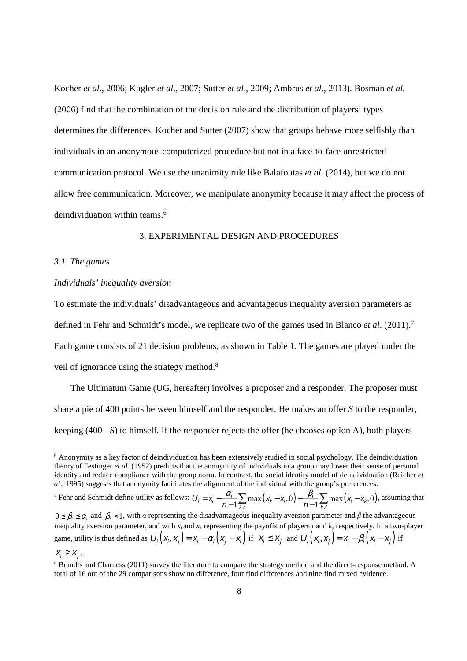Kocher *et al*., 2006; Kugler *et al*., 2007; Sutter *et al*., 2009; Ambrus *et al*., 2013). Bosman *et al.* (2006) find that the combination of the decision rule and the distribution of players' types determines the differences. Kocher and Sutter (2007) show that groups behave more selfishly than individuals in an anonymous computerized procedure but not in a face-to-face unrestricted communication protocol. We use the unanimity rule like Balafoutas *et al*. (2014), but we do not allow free communication. Moreover, we manipulate anonymity because it may affect the process of deindividuation within teams.<sup>6</sup>

## 3. EXPERIMENTAL DESIGN AND PROCEDURES

### *3.1. The games*

### *Individuals' inequality aversion*

To estimate the individuals' disadvantageous and advantageous inequality aversion parameters as defined in Fehr and Schmidt's model, we replicate two of the games used in Blanco *et al*. (2011).<sup>7</sup> Each game consists of 21 decision problems, as shown in Table 1. The games are played under the veil of ignorance using the strategy method.<sup>8</sup>

The Ultimatum Game (UG, hereafter) involves a proposer and a responder. The proposer must share a pie of 400 points between himself and the responder. He makes an offer *S* to the responder, keeping (400 - *S*) to himself. If the responder rejects the offer (he chooses option A), both players

<sup>7</sup> Fehr and Schmidt define utility as follows:  $U_i = x_i - \frac{\alpha_i}{n_i}$  $\frac{\alpha_i}{n-1} \sum_{k \neq i} \max\left(\mathbf{x}_k - \mathbf{x}_i, 0\right) - \frac{\beta_i}{n-1}$  $\frac{\beta_i}{n-1} \sum_{k \neq i} \max\left(\mathbf{x}_i - \mathbf{x}_k, 0\right)$ , assuming that

 $0 \leq \beta_i \leq \alpha_i$  and  $\beta_i < 1$ , with  $\alpha$  representing the disadvantageous inequality aversion parameter and  $\beta$  the advantageous inequality aversion parameter, and with  $x_i$  and  $x_k$  representing the payoffs of players *i* and *k*, respectively. In a two-player game, utility is thus defined as  $U_i(x_i, x_j) = x_i - \alpha_i (x_j - x_i)$  if  $x_i \le x_j$  and  $U_i(x_i, x_j) = x_i - \beta_i (x_i - x_j)$  if

 $x_i > x_j$ .

l

<sup>6</sup> Anonymity as a key factor of deindividuation has been extensively studied in social psychology. The deindividuation theory of Festinger *et al*. (1952) predicts that the anonymity of individuals in a group may lower their sense of personal identity and reduce compliance with the group norm. In contrast, the social identity model of deindividuation (Reicher *et al*., 1995) suggests that anonymity facilitates the alignment of the individual with the group's preferences.

<sup>&</sup>lt;sup>8</sup> Brandts and Charness (2011) survey the literature to compare the strategy method and the direct-response method. A total of 16 out of the 29 comparisons show no difference, four find differences and nine find mixed evidence.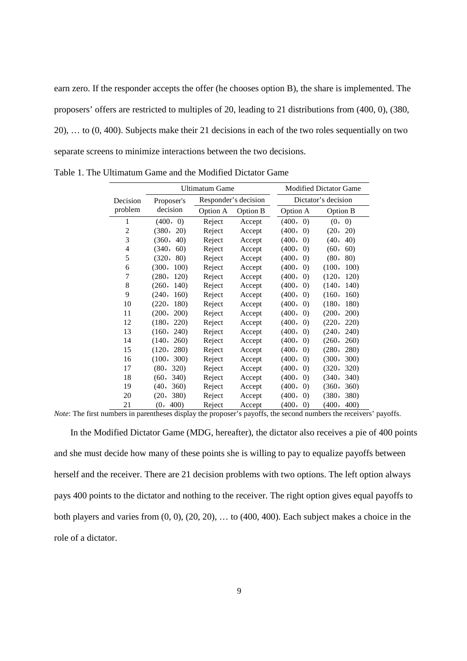earn zero. If the responder accepts the offer (he chooses option B), the share is implemented. The proposers' offers are restricted to multiples of 20, leading to 21 distributions from (400, 0), (380, 20), … to (0, 400). Subjects make their 21 decisions in each of the two roles sequentially on two separate screens to minimize interactions between the two decisions.

|                |                            | <b>Ultimatum Game</b> |                      | <b>Modified Dictator Game</b>                          |
|----------------|----------------------------|-----------------------|----------------------|--------------------------------------------------------|
| Decision       | Proposer's                 |                       | Responder's decision | Dictator's decision                                    |
| problem        | decision                   | Option A              | Option B             | Option A<br>Option B                                   |
| 1              | $\left( 0\right)$<br>(400, | Reject                | Accept               | (400,<br>$\left( 0\right)$<br>(0,<br>$\left( 0\right)$ |
| $\overline{2}$ | 20)<br>(380,               | Reject                | Accept               | 20)<br>(400,<br>$\left( 0\right)$<br>(20,              |
| 3              | 40)<br>(360,               | Reject                | Accept               | 40)<br>(400,<br>(40,<br>$\left( 0\right)$              |
| $\overline{4}$ | (340,<br>60)               | Reject                | Accept               | (400,<br>(60, 60)<br>60)<br>$\left( 0\right)$          |
| 5              | (320,<br>80)               | Reject                | Accept               | 80)<br>(400,<br>(80,<br>$\left( 0\right)$              |
| 6              | (300,<br>100)              | Reject                | Accept               | (400,<br>(100,<br>100)<br>$\left( 0\right)$            |
| 7              | 120)<br>(280,              | Reject                | Accept               | 120)<br>(400,<br>(120,<br>$\left( 0\right)$            |
| 8              | (260,<br>140)              | Reject                | Accept               | (400,<br>(140,<br>140)<br>$\left( 0\right)$            |
| 9              | 160)<br>(240,              | Reject                | Accept               | 160)<br>(400,<br>(160,<br>$\left( 0\right)$            |
| 10             | 180)<br>(220,              | Reject                | Accept               | (400,<br>(180,<br>180)<br>$\left( 0\right)$            |
| 11             | 200)<br>(200,              | Reject                | Accept               | 200)<br>(400,<br>(200,<br>$\left( 0\right)$            |
| 12             | (180,<br>220)              | Reject                | Accept               | (400,<br>220)<br>(220,<br>$\left( 0\right)$            |
| 13             | 240)<br>(160,              | Reject                | Accept               | 240)<br>(400,<br>(240,<br>$\left( 0\right)$            |
| 14             | (140,<br>260)              | Reject                | Accept               | (400,<br>(260,<br>260)<br>$\left( 0\right)$            |
| 15             | (120,<br>280)              | Reject                | Accept               | 280)<br>(400,<br>(280,<br>$\left( 0\right)$            |
| 16             | 300)<br>(100,              | Reject                | Accept               | 300)<br>(400,<br>(300,<br>$\left( 0\right)$            |
| 17             | (80,<br><b>320</b> )       | Reject                | Accept               | (400,<br>(320,<br>320)<br>$\left( 0\right)$            |
| 18             | (60, 60)<br>340)           | Reject                | Accept               | (340,<br>(400,<br>340)<br>$\left( 0\right)$            |
| 19             | (40,<br><b>360</b> )       | Reject                | Accept               | (400,<br>(360,<br><b>360</b> )<br>$\left( 0\right)$    |
| 20             | 380)<br>(20,               | Reject                | Accept               | 380)<br>(400,<br>$\left( 0\right)$<br>(380,            |
| 21             | 400)<br>(0,                | Reject                | Accept               | (400,<br>400)<br>$\left( 0\right)$<br>(400,            |

Table 1. The Ultimatum Game and the Modified Dictator Game

*Note*: The first numbers in parentheses display the proposer's payoffs, the second numbers the receivers' payoffs.

In the Modified Dictator Game (MDG, hereafter), the dictator also receives a pie of 400 points and she must decide how many of these points she is willing to pay to equalize payoffs between herself and the receiver. There are 21 decision problems with two options. The left option always pays 400 points to the dictator and nothing to the receiver. The right option gives equal payoffs to both players and varies from  $(0, 0)$ ,  $(20, 20)$ , ... to  $(400, 400)$ . Each subject makes a choice in the role of a dictator.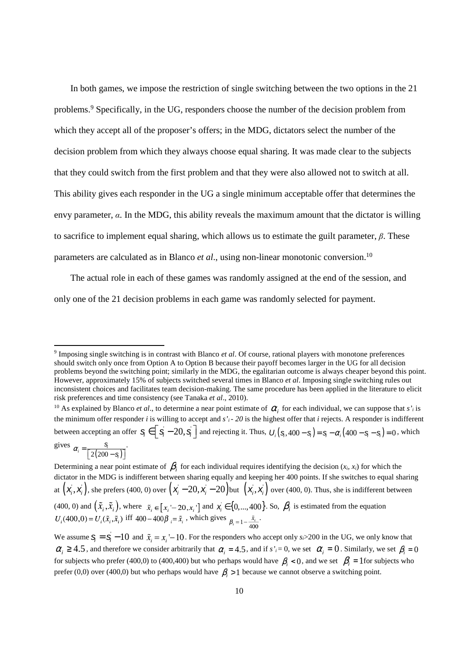In both games, we impose the restriction of single switching between the two options in the 21 problems.<sup>9</sup> Specifically, in the UG, responders choose the number of the decision problem from which they accept all of the proposer's offers; in the MDG, dictators select the number of the decision problem from which they always choose equal sharing. It was made clear to the subjects that they could switch from the first problem and that they were also allowed not to switch at all. This ability gives each responder in the UG a single minimum acceptable offer that determines the envy parameter,  $\alpha$ . In the MDG, this ability reveals the maximum amount that the dictator is willing to sacrifice to implement equal sharing, which allows us to estimate the guilt parameter, *β*. These parameters are calculated as in Blanco *et al.*, using non-linear monotonic conversion.<sup>10</sup>

The actual role in each of these games was randomly assigned at the end of the session, and only one of the 21 decision problems in each game was randomly selected for payment.

l

<sup>10</sup> As explained by Blanco *et al.*, to determine a near point estimate of  $\alpha_i$  for each individual, we can suppose that *s'<sub>i</sub>* is the minimum offer responder *i* is willing to accept and *s'i - 20* is the highest offer that *i* rejects. A responder is indifferent between accepting an offer  $S_i \in \left[ S_i - 20, S_i \right]$  and rejecting it. Thus,  $U_i(S, 400 - S_i) = S_i - \alpha_i(400 - S_i - S_i) = 0$ , which gives  $\alpha_i = \frac{S}{\sqrt{2}}$  $\left[2(200 - s)\right]$ .

Determining a near point estimate of  $\beta$ <sub>i</sub> for each individual requires identifying the decision  $(x_i, x_i)$  for which the dictator in the MDG is indifferent between sharing equally and keeping her 400 points. If she switches to equal sharing at  $(x_i, x_j)$ , she prefers (400, 0) over  $(x_i - 20, x_i - 20)$  but  $(x_i, x_j)$  over (400, 0). Thus, she is indifferent between (400, 0) and  $(\tilde{x}_i, \tilde{x}_i)$ , where  $\tilde{x}_i \in [x_i - 20, x_i]$  and  $x_i \in \{0, ..., 400\}$ . So,  $\beta_i$  is estimated from the equation  $U_i(400,0) = U_i(\tilde{x}_i, \tilde{x}_i)$  iff  $400 - 400\beta_i = \tilde{x}_i$ , which gives  $\beta_i = 1 - \frac{\tilde{x}_i}{400}$ .

<sup>9</sup> Imposing single switching is in contrast with Blanco *et al*. Of course, rational players with monotone preferences should switch only once from Option A to Option B because their payoff becomes larger in the UG for all decision problems beyond the switching point; similarly in the MDG, the egalitarian outcome is always cheaper beyond this point. However, approximately 15% of subjects switched several times in Blanco *et al*. Imposing single switching rules out inconsistent choices and facilitates team decision-making. The same procedure has been applied in the literature to elicit risk preferences and time consistency (see Tanaka *et al*., 2010).

We assume  $s_i = s_i - 10$  and  $\tilde{x}_i = x_i - 10$ . For the responders who accept only  $s_i > 200$  in the UG, we only know that  $\alpha_i \ge 4.5$ , and therefore we consider arbitrarily that  $\alpha_i = 4.5$ , and if  $s_i = 0$ , we set  $\alpha_i = 0$ . Similarly, we set  $\beta_i = 0$ for subjects who prefer (400,0) to (400,400) but who perhaps would have  $\beta_i < 0$ , and we set  $\beta_i = 1$  for subjects who prefer (0,0) over (400,0) but who perhaps would have  $\beta_i > 1$  because we cannot observe a switching point.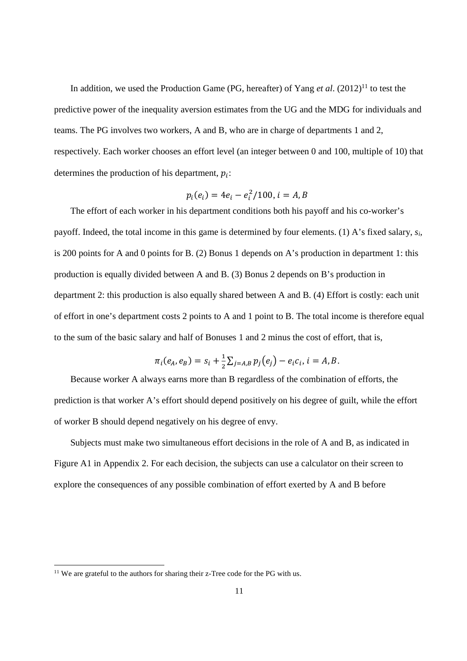In addition, we used the Production Game (PG, hereafter) of Yang *et al.* (2012)<sup>11</sup> to test the predictive power of the inequality aversion estimates from the UG and the MDG for individuals and teams. The PG involves two workers, A and B, who are in charge of departments 1 and 2, respectively. Each worker chooses an effort level (an integer between 0 and 100, multiple of 10) that determines the production of his department,  $p_i$ :

$$
p_i(e_i) = 4e_i - e_i^2/100, i = A, B
$$

The effort of each worker in his department conditions both his payoff and his co-worker's payoff. Indeed, the total income in this game is determined by four elements. (1) A's fixed salary, *si,* is 200 points for A and 0 points for B. (2) Bonus 1 depends on A's production in department 1: this production is equally divided between A and B. (3) Bonus 2 depends on B's production in department 2: this production is also equally shared between A and B. (4) Effort is costly: each unit of effort in one's department costs 2 points to A and 1 point to B. The total income is therefore equal to the sum of the basic salary and half of Bonuses 1 and 2 minus the cost of effort, that is,

$$
\pi_i(e_A, e_B) = s_i + \frac{1}{2} \sum_{j=A,B} p_j(e_j) - e_i c_i, i = A, B.
$$

Because worker A always earns more than B regardless of the combination of efforts, the prediction is that worker A's effort should depend positively on his degree of guilt, while the effort of worker B should depend negatively on his degree of envy.

Subjects must make two simultaneous effort decisions in the role of A and B, as indicated in Figure A1 in Appendix 2. For each decision, the subjects can use a calculator on their screen to explore the consequences of any possible combination of effort exerted by A and B before

 $\overline{a}$ 

 $11$  We are grateful to the authors for sharing their z-Tree code for the PG with us.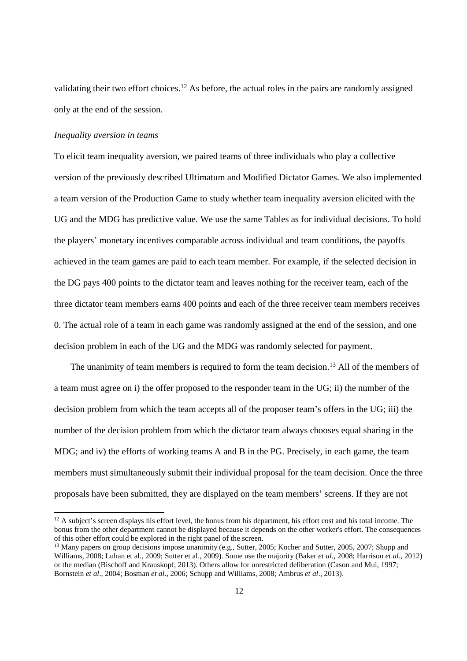validating their two effort choices.<sup>12</sup> As before, the actual roles in the pairs are randomly assigned only at the end of the session.

## *Inequality aversion in teams*

 $\overline{a}$ 

To elicit team inequality aversion, we paired teams of three individuals who play a collective version of the previously described Ultimatum and Modified Dictator Games. We also implemented a team version of the Production Game to study whether team inequality aversion elicited with the UG and the MDG has predictive value. We use the same Tables as for individual decisions. To hold the players' monetary incentives comparable across individual and team conditions, the payoffs achieved in the team games are paid to each team member. For example, if the selected decision in the DG pays 400 points to the dictator team and leaves nothing for the receiver team, each of the three dictator team members earns 400 points and each of the three receiver team members receives 0. The actual role of a team in each game was randomly assigned at the end of the session, and one decision problem in each of the UG and the MDG was randomly selected for payment.

The unanimity of team members is required to form the team decision.<sup>13</sup> All of the members of a team must agree on i) the offer proposed to the responder team in the UG; ii) the number of the decision problem from which the team accepts all of the proposer team's offers in the UG; iii) the number of the decision problem from which the dictator team always chooses equal sharing in the MDG; and iv) the efforts of working teams A and B in the PG. Precisely, in each game, the team members must simultaneously submit their individual proposal for the team decision. Once the three proposals have been submitted, they are displayed on the team members' screens. If they are not

 $12$  A subject's screen displays his effort level, the bonus from his department, his effort cost and his total income. The bonus from the other department cannot be displayed because it depends on the other worker's effort. The consequences of this other effort could be explored in the right panel of the screen.

<sup>&</sup>lt;sup>13</sup> Many papers on group decisions impose unanimity (e.g., Sutter, 2005; Kocher and Sutter, 2005, 2007; Shupp and Williams, 2008; Luhan et al., 2009; Sutter et al., 2009). Some use the majority (Baker *et al*., 2008; Harrison *et al*., 2012) or the median (Bischoff and Krauskopf, 2013). Others allow for unrestricted deliberation (Cason and Mui, 1997; Bornstein *et al*., 2004; Bosman *et al*., 2006; Schupp and Williams, 2008; Ambrus *et al*., 2013).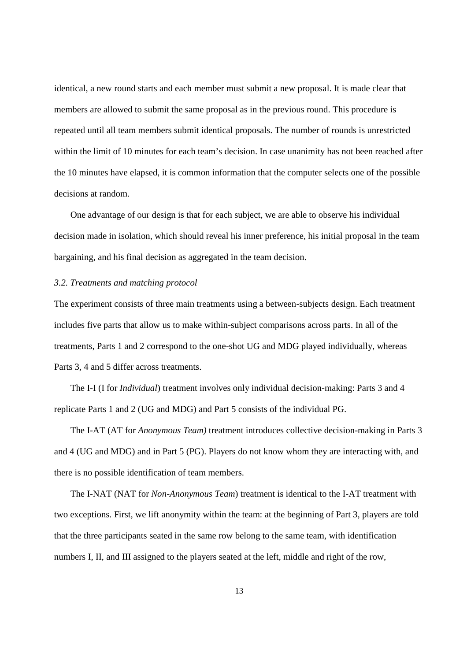identical, a new round starts and each member must submit a new proposal. It is made clear that members are allowed to submit the same proposal as in the previous round. This procedure is repeated until all team members submit identical proposals. The number of rounds is unrestricted within the limit of 10 minutes for each team's decision. In case unanimity has not been reached after the 10 minutes have elapsed, it is common information that the computer selects one of the possible decisions at random.

One advantage of our design is that for each subject, we are able to observe his individual decision made in isolation, which should reveal his inner preference, his initial proposal in the team bargaining, and his final decision as aggregated in the team decision.

## *3.2. Treatments and matching protocol*

The experiment consists of three main treatments using a between-subjects design. Each treatment includes five parts that allow us to make within-subject comparisons across parts. In all of the treatments, Parts 1 and 2 correspond to the one-shot UG and MDG played individually, whereas Parts 3, 4 and 5 differ across treatments.

The I-I (I for *Individual*) treatment involves only individual decision-making: Parts 3 and 4 replicate Parts 1 and 2 (UG and MDG) and Part 5 consists of the individual PG.

The I-AT (AT for *Anonymous Team)* treatment introduces collective decision-making in Parts 3 and 4 (UG and MDG) and in Part 5 (PG). Players do not know whom they are interacting with, and there is no possible identification of team members.

The I-NAT (NAT for *Non-Anonymous Team*) treatment is identical to the I-AT treatment with two exceptions. First, we lift anonymity within the team: at the beginning of Part 3, players are told that the three participants seated in the same row belong to the same team, with identification numbers I, II, and III assigned to the players seated at the left, middle and right of the row,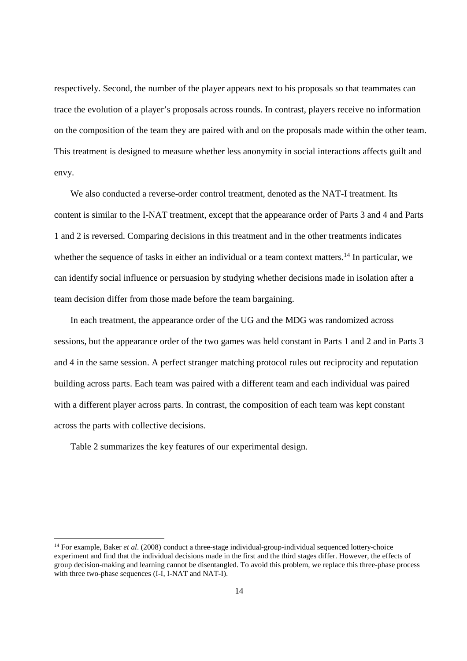respectively. Second, the number of the player appears next to his proposals so that teammates can trace the evolution of a player's proposals across rounds. In contrast, players receive no information on the composition of the team they are paired with and on the proposals made within the other team. This treatment is designed to measure whether less anonymity in social interactions affects guilt and envy.

We also conducted a reverse-order control treatment, denoted as the NAT-I treatment. Its content is similar to the I-NAT treatment, except that the appearance order of Parts 3 and 4 and Parts 1 and 2 is reversed. Comparing decisions in this treatment and in the other treatments indicates whether the sequence of tasks in either an individual or a team context matters.<sup>14</sup> In particular, we can identify social influence or persuasion by studying whether decisions made in isolation after a team decision differ from those made before the team bargaining.

In each treatment, the appearance order of the UG and the MDG was randomized across sessions, but the appearance order of the two games was held constant in Parts 1 and 2 and in Parts 3 and 4 in the same session. A perfect stranger matching protocol rules out reciprocity and reputation building across parts. Each team was paired with a different team and each individual was paired with a different player across parts. In contrast, the composition of each team was kept constant across the parts with collective decisions.

Table 2 summarizes the key features of our experimental design.

l

<sup>&</sup>lt;sup>14</sup> For example, Baker *et al.* (2008) conduct a three-stage individual-group-individual sequenced lottery-choice experiment and find that the individual decisions made in the first and the third stages differ. However, the effects of group decision-making and learning cannot be disentangled. To avoid this problem, we replace this three-phase process with three two-phase sequences (I-I, I-NAT and NAT-I).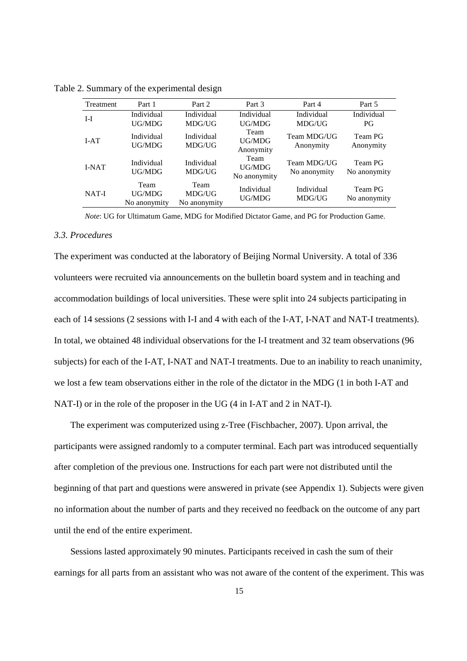| <b>Treatment</b> | Part 1                         | Part 2                         | Part 3                         | Part 4                      | Part 5                  |
|------------------|--------------------------------|--------------------------------|--------------------------------|-----------------------------|-------------------------|
| $I-I$            | Individual                     | Individual                     | Individual                     | Individual                  | Individual              |
|                  | UG/MDG                         | MDG/UG<br>UG/MDG<br>MDG/UG     | PG                             |                             |                         |
| $I-AT$           | Individual<br>UG/MDG           | Individual<br>MDG/UG           | Team<br>UG/MDG<br>Anonymity    | Team MDG/UG<br>Anonymity    | Team PG<br>Anonymity    |
| <b>I-NAT</b>     | Individual<br>UG/MDG           | Individual<br>MDG/UG           | Team<br>UG/MDG<br>No anonymity | Team MDG/UG<br>No anonymity | Team PG<br>No anonymity |
| NAT-I            | Team<br>UG/MDG<br>No anonymity | Team<br>MDG/UG<br>No anonymity | Individual<br>UG/MDG           | Individual<br>MDG/UG        | Team PG<br>No anonymity |

Table 2. Summary of the experimental design

*Note*: UG for Ultimatum Game, MDG for Modified Dictator Game, and PG for Production Game.

## *3.3. Procedures*

The experiment was conducted at the laboratory of Beijing Normal University. A total of 336 volunteers were recruited via announcements on the bulletin board system and in teaching and accommodation buildings of local universities. These were split into 24 subjects participating in each of 14 sessions (2 sessions with I-I and 4 with each of the I-AT, I-NAT and NAT-I treatments). In total, we obtained 48 individual observations for the I-I treatment and 32 team observations (96 subjects) for each of the I-AT, I-NAT and NAT-I treatments. Due to an inability to reach unanimity, we lost a few team observations either in the role of the dictator in the MDG (1 in both I-AT and NAT-I) or in the role of the proposer in the UG (4 in I-AT and 2 in NAT-I).

The experiment was computerized using z-Tree (Fischbacher, 2007). Upon arrival, the participants were assigned randomly to a computer terminal. Each part was introduced sequentially after completion of the previous one. Instructions for each part were not distributed until the beginning of that part and questions were answered in private (see Appendix 1). Subjects were given no information about the number of parts and they received no feedback on the outcome of any part until the end of the entire experiment.

Sessions lasted approximately 90 minutes. Participants received in cash the sum of their earnings for all parts from an assistant who was not aware of the content of the experiment. This was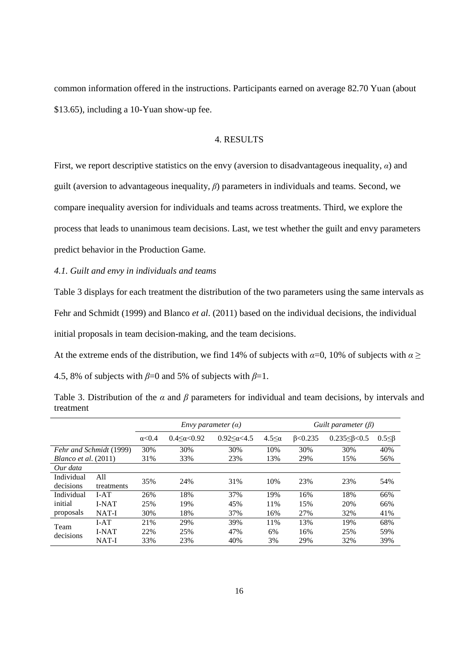common information offered in the instructions. Participants earned on average 82.70 Yuan (about \$13.65), including a 10-Yuan show-up fee.

## 4. RESULTS

First, we report descriptive statistics on the envy (aversion to disadvantageous inequality, *α*) and guilt (aversion to advantageous inequality, *β*) parameters in individuals and teams. Second, we compare inequality aversion for individuals and teams across treatments. Third, we explore the process that leads to unanimous team decisions. Last, we test whether the guilt and envy parameters predict behavior in the Production Game.

## *4.1. Guilt and envy in individuals and teams*

Table 3 displays for each treatment the distribution of the two parameters using the same intervals as Fehr and Schmidt (1999) and Blanco *et al*. (2011) based on the individual decisions, the individual initial proposals in team decision-making, and the team decisions.

At the extreme ends of the distribution, we find 14% of subjects with  $\alpha$ =0, 10% of subjects with  $\alpha \ge$ 

4.5, 8% of subjects with *β*=0 and 5% of subjects with *β*=1.

| Table 3. Distribution of the $\alpha$ and $\beta$ parameters for individual and team decisions, by intervals and |  |  |  |  |
|------------------------------------------------------------------------------------------------------------------|--|--|--|--|
| treatment                                                                                                        |  |  |  |  |

|                      |                         |              | Envy parameter $(\alpha)$ |                         |                   | Guilt parameter $(\beta)$ |                          |                  |  |
|----------------------|-------------------------|--------------|---------------------------|-------------------------|-------------------|---------------------------|--------------------------|------------------|--|
|                      |                         | $\alpha<0.4$ | $0.4 \le \alpha \le 0.92$ | $0.92 \le \alpha < 4.5$ | $4.5 \leq \alpha$ | B < 0.235                 | $0.235 \leq \beta < 0.5$ | $0.5 \leq \beta$ |  |
|                      | Fehr and Schmidt (1999) | 30%          | 30%                       | 30%                     | 10%               | 30%                       | 30%                      | 40%              |  |
| Blanco et al. (2011) |                         | 31%          | 33%                       | 23%                     | 13%               | 29%                       | 15%                      | 56%              |  |
| Our data             |                         |              |                           |                         |                   |                           |                          |                  |  |
| Individual           | All                     | 35%          | 24%                       | 31%                     | 10%               | 23%                       | 23%                      | 54%              |  |
| decisions            | treatments              |              |                           |                         |                   |                           |                          |                  |  |
| Individual           | $I-AT$                  | 26%          | 18%                       | 37%                     | 19%               | 16%                       | 18%                      | 66%              |  |
| initial              | <b>I-NAT</b>            | 25%          | 19%                       | 45%                     | 11%               | 15%                       | 20%                      | 66%              |  |
| proposals            | NAT-I                   | 30%          | 18%                       | 37%                     | 16%               | 27%                       | 32%                      | 41%              |  |
|                      | $I-AT$                  | 21%          | 29%                       | 39%                     | 11%               | 13%                       | 19%                      | 68%              |  |
| Team<br>decisions    | <b>I-NAT</b>            | 22%          | 25%                       | 47%                     | 6%                | 16%                       | 25%                      | 59%              |  |
|                      | NAT-I                   | 33%          | 23%                       | 40%                     | 3%                | 29%                       | 32%                      | 39%              |  |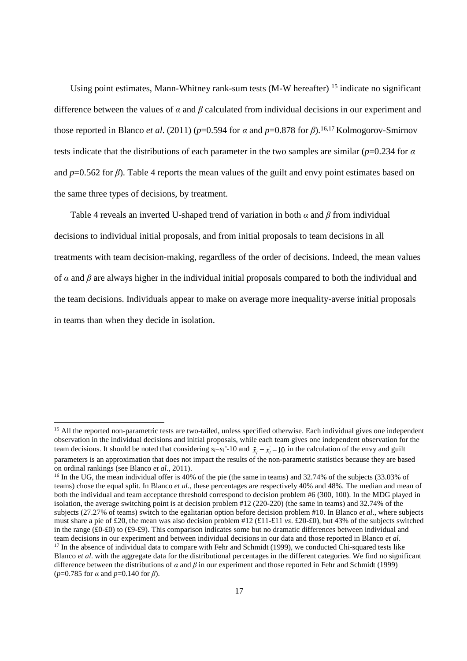Using point estimates, Mann-Whitney rank-sum tests (M-W hereafter) <sup>15</sup> indicate no significant difference between the values of *α* and *β* calculated from individual decisions in our experiment and those reported in Blanco *et al.* (2011) ( $p=0.594$  for  $\alpha$  and  $p=0.878$  for  $\beta$ ).<sup>16,17</sup> Kolmogorov-Smirnov tests indicate that the distributions of each parameter in the two samples are similar (*p*=0.234 for *α* and  $p=0.562$  for  $\beta$ ). Table 4 reports the mean values of the guilt and envy point estimates based on the same three types of decisions, by treatment.

Table 4 reveals an inverted U-shaped trend of variation in both *α* and *β* from individual decisions to individual initial proposals, and from initial proposals to team decisions in all treatments with team decision-making, regardless of the order of decisions. Indeed, the mean values of *α* and *β* are always higher in the individual initial proposals compared to both the individual and the team decisions. Individuals appear to make on average more inequality-averse initial proposals in teams than when they decide in isolation.

l

<sup>&</sup>lt;sup>15</sup> All the reported non-parametric tests are two-tailed, unless specified otherwise. Each individual gives one independent observation in the individual decisions and initial proposals, while each team gives one independent observation for the team decisions. It should be noted that considering  $s_i = s_i'$ -10 and  $\tilde{x}_i = x_i - 10$  in the calculation of the envy and guilt parameters is an approximation that does not impact the results of the non-parametric statistics because they are based on ordinal rankings (see Blanco *et al.,* 2011).

<sup>&</sup>lt;sup>16</sup> In the UG, the mean individual offer is 40% of the pie (the same in teams) and 32.74% of the subjects (33.03% of teams) chose the equal split. In Blanco *et al*., these percentages are respectively 40% and 48%. The median and mean of both the individual and team acceptance threshold correspond to decision problem #6 (300, 100). In the MDG played in isolation, the average switching point is at decision problem #12 (220-220) (the same in teams) and 32.74% of the subjects (27.27% of teams) switch to the egalitarian option before decision problem #10. In Blanco *et al*., where subjects must share a pie of £20, the mean was also decision problem #12 (£11-£11 *vs*. £20-£0), but 43% of the subjects switched in the range (£0-£0) to (£9-£9). This comparison indicates some but no dramatic differences between individual and team decisions in our experiment and between individual decisions in our data and those reported in Blanco *et al*. <sup>17</sup> In the absence of individual data to compare with Fehr and Schmidt (1999), we conducted Chi-squared tests like Blanco *et al*. with the aggregate data for the distributional percentages in the different categories. We find no significant difference between the distributions of *α* and *β* in our experiment and those reported in Fehr and Schmidt (1999) (*p*=0.785 for *α* and *p*=0.140 for *β*).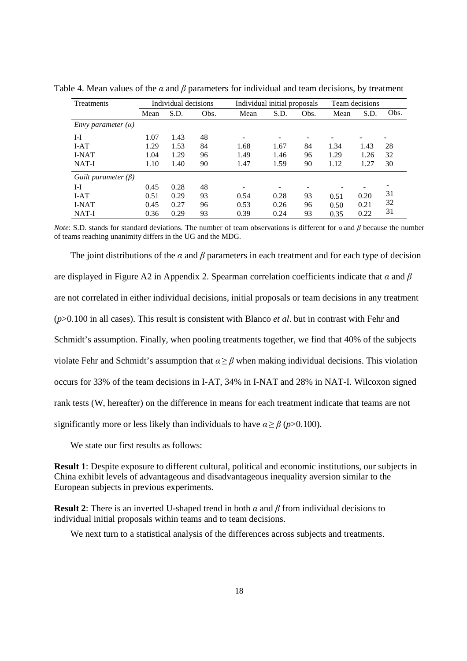| Treatments                |      | Individual decisions |      | Individual initial proposals |                 |      |      | Team decisions |      |
|---------------------------|------|----------------------|------|------------------------------|-----------------|------|------|----------------|------|
|                           | Mean | S.D.                 | Obs. | Mean                         | S.D.            | Obs. | Mean | S.D.           | Obs. |
| Envy parameter $(\alpha)$ |      |                      |      |                              |                 |      |      |                |      |
| $I-I$                     | 1.07 | 1.43                 | 48   | $\overline{\phantom{a}}$     | -               |      |      |                |      |
| $I-AT$                    | 1.29 | 1.53                 | 84   | 1.68                         | 1.67            | 84   | 1.34 | 1.43           | 28   |
| <b>I-NAT</b>              | 1.04 | 1.29                 | 96   | 1.49                         | 1.46            | 96   | 1.29 | 1.26           | 32   |
| NAT-I                     | 1.10 | 1.40                 | 90   | 1.47                         | 1.59            | 90   | 1.12 | 1.27           | 30   |
| Guilt parameter $(\beta)$ |      |                      |      |                              |                 |      |      |                |      |
| I-I                       | 0.45 | 0.28                 | 48   |                              | $\qquad \qquad$ |      |      |                | -    |
| $I-AT$                    | 0.51 | 0.29                 | 93   | 0.54                         | 0.28            | 93   | 0.51 | 0.20           | 31   |
| <b>I-NAT</b>              | 0.45 | 0.27                 | 96   | 0.53                         | 0.26            | 96   | 0.50 | 0.21           | 32   |
| NAT-I                     | 0.36 | 0.29                 | 93   | 0.39                         | 0.24            | 93   | 0.35 | 0.22           | 31   |

Table 4. Mean values of the  $\alpha$  and  $\beta$  parameters for individual and team decisions, by treatment

*Note*: S.D. stands for standard deviations. The number of team observations is different for *α* and *β* because the number of teams reaching unanimity differs in the UG and the MDG.

The joint distributions of the  $\alpha$  and  $\beta$  parameters in each treatment and for each type of decision are displayed in Figure A2 in Appendix 2. Spearman correlation coefficients indicate that *α* and *β* are not correlated in either individual decisions, initial proposals or team decisions in any treatment (*p*>0.100 in all cases). This result is consistent with Blanco *et al*. but in contrast with Fehr and Schmidt's assumption. Finally, when pooling treatments together, we find that 40% of the subjects violate Fehr and Schmidt's assumption that  $\alpha \ge \beta$  when making individual decisions. This violation occurs for 33% of the team decisions in I-AT, 34% in I-NAT and 28% in NAT-I. Wilcoxon signed rank tests (W, hereafter) on the difference in means for each treatment indicate that teams are not significantly more or less likely than individuals to have  $\alpha \ge \beta$  ( $p > 0.100$ ).

We state our first results as follows:

**Result 1**: Despite exposure to different cultural, political and economic institutions, our subjects in China exhibit levels of advantageous and disadvantageous inequality aversion similar to the European subjects in previous experiments.

**Result 2**: There is an inverted U-shaped trend in both *α* and *β* from individual decisions to individual initial proposals within teams and to team decisions.

We next turn to a statistical analysis of the differences across subjects and treatments.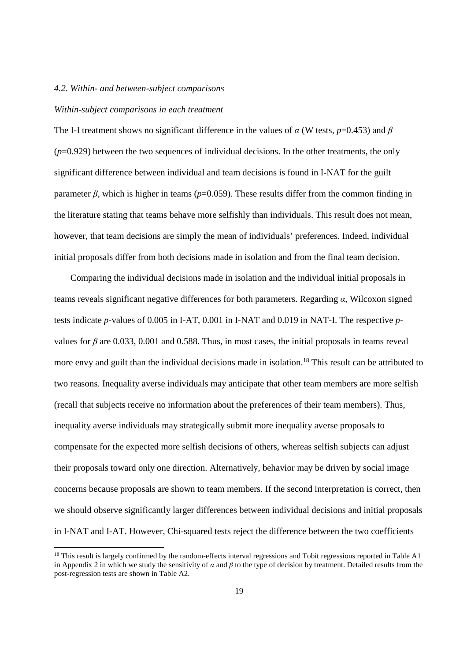### *4.2. Within- and between-subject comparisons*

## *Within-subject comparisons in each treatment*

l

The I-I treatment shows no significant difference in the values of *α* (W tests, *p*=0.453) and *β* (*p*=0.929) between the two sequences of individual decisions. In the other treatments, the only significant difference between individual and team decisions is found in I-NAT for the guilt parameter  $\beta$ , which is higher in teams ( $p=0.059$ ). These results differ from the common finding in the literature stating that teams behave more selfishly than individuals. This result does not mean, however, that team decisions are simply the mean of individuals' preferences. Indeed, individual initial proposals differ from both decisions made in isolation and from the final team decision.

Comparing the individual decisions made in isolation and the individual initial proposals in teams reveals significant negative differences for both parameters. Regarding *α*, Wilcoxon signed tests indicate *p*-values of 0.005 in I-AT, 0.001 in I-NAT and 0.019 in NAT-I. The respective *p*values for *β* are 0.033, 0.001 and 0.588. Thus, in most cases, the initial proposals in teams reveal more envy and guilt than the individual decisions made in isolation.<sup>18</sup> This result can be attributed to two reasons. Inequality averse individuals may anticipate that other team members are more selfish (recall that subjects receive no information about the preferences of their team members). Thus, inequality averse individuals may strategically submit more inequality averse proposals to compensate for the expected more selfish decisions of others, whereas selfish subjects can adjust their proposals toward only one direction. Alternatively, behavior may be driven by social image concerns because proposals are shown to team members. If the second interpretation is correct, then we should observe significantly larger differences between individual decisions and initial proposals in I-NAT and I-AT. However, Chi-squared tests reject the difference between the two coefficients

 $18$  This result is largely confirmed by the random-effects interval regressions and Tobit regressions reported in Table A1 in Appendix 2 in which we study the sensitivity of *α* and *β* to the type of decision by treatment. Detailed results from the post-regression tests are shown in Table A2.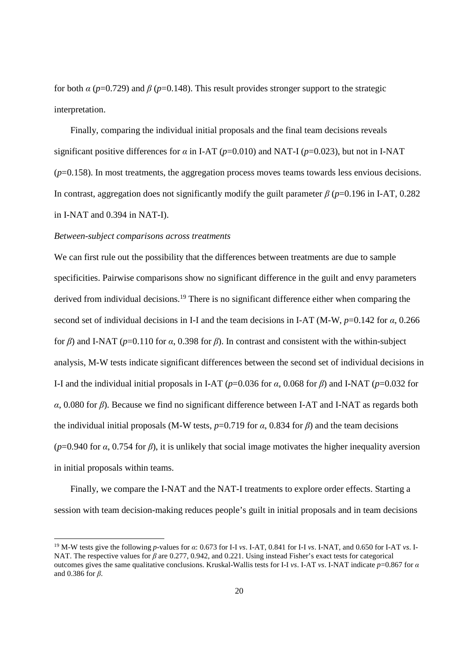for both  $\alpha$  ( $p=0.729$ ) and  $\beta$  ( $p=0.148$ ). This result provides stronger support to the strategic interpretation.

Finally, comparing the individual initial proposals and the final team decisions reveals significant positive differences for  $\alpha$  in I-AT ( $p=0.010$ ) and NAT-I ( $p=0.023$ ), but not in I-NAT (*p*=0.158). In most treatments, the aggregation process moves teams towards less envious decisions. In contrast, aggregation does not significantly modify the guilt parameter  $\beta$  ( $p=0.196$  in I-AT, 0.282) in I-NAT and 0.394 in NAT-I).

## *Between-subject comparisons across treatments*

l

We can first rule out the possibility that the differences between treatments are due to sample specificities. Pairwise comparisons show no significant difference in the guilt and envy parameters derived from individual decisions.<sup>19</sup> There is no significant difference either when comparing the second set of individual decisions in I-I and the team decisions in I-AT (M-W, *p*=0.142 for *α*, 0.266 for *β*) and I-NAT (*p*=0.110 for *α*, 0.398 for *β*). In contrast and consistent with the within-subject analysis, M-W tests indicate significant differences between the second set of individual decisions in I-I and the individual initial proposals in I-AT ( $p=0.036$  for  $\alpha$ , 0.068 for  $\beta$ ) and I-NAT ( $p=0.032$  for *α*, 0.080 for *β*). Because we find no significant difference between I-AT and I-NAT as regards both the individual initial proposals (M-W tests,  $p=0.719$  for  $\alpha$ , 0.834 for  $\beta$ ) and the team decisions  $(p=0.940$  for  $\alpha$ , 0.754 for  $\beta$ ), it is unlikely that social image motivates the higher inequality aversion in initial proposals within teams.

Finally, we compare the I-NAT and the NAT-I treatments to explore order effects. Starting a session with team decision-making reduces people's guilt in initial proposals and in team decisions

<sup>19</sup> M-W tests give the following *p*-values for *α*: 0.673 for I-I *vs*. I-AT, 0.841 for I-I *vs*. I-NAT, and 0.650 for I-AT *vs*. I-NAT. The respective values for *β* are 0.277, 0.942, and 0.221. Using instead Fisher's exact tests for categorical outcomes gives the same qualitative conclusions. Kruskal-Wallis tests for I-I *vs*. I-AT *vs*. I-NAT indicate *p*=0.867 for *α* and 0.386 for *β*.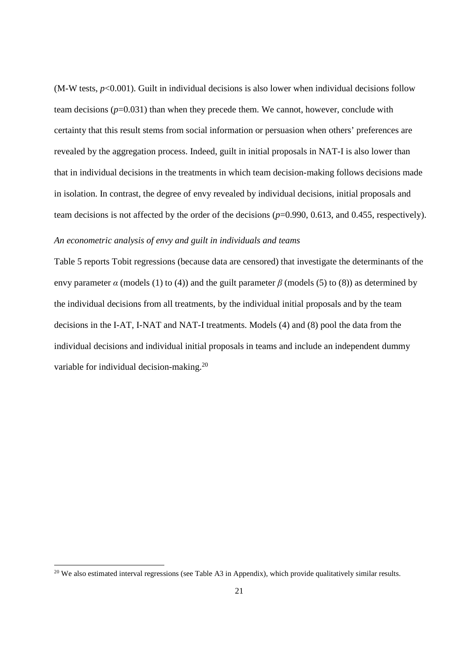(M-W tests, *p*<0.001). Guilt in individual decisions is also lower when individual decisions follow team decisions  $(p=0.031)$  than when they precede them. We cannot, however, conclude with certainty that this result stems from social information or persuasion when others' preferences are revealed by the aggregation process. Indeed, guilt in initial proposals in NAT-I is also lower than that in individual decisions in the treatments in which team decision-making follows decisions made in isolation. In contrast, the degree of envy revealed by individual decisions, initial proposals and team decisions is not affected by the order of the decisions (*p*=0.990, 0.613, and 0.455, respectively).

## *An econometric analysis of envy and guilt in individuals and teams*

Table 5 reports Tobit regressions (because data are censored) that investigate the determinants of the envy parameter  $\alpha$  (models (1) to (4)) and the guilt parameter  $\beta$  (models (5) to (8)) as determined by the individual decisions from all treatments, by the individual initial proposals and by the team decisions in the I-AT, I-NAT and NAT-I treatments. Models (4) and (8) pool the data from the individual decisions and individual initial proposals in teams and include an independent dummy variable for individual decision-making.<sup>20</sup>

 $\overline{a}$ 

 $20$  We also estimated interval regressions (see Table A3 in Appendix), which provide qualitatively similar results.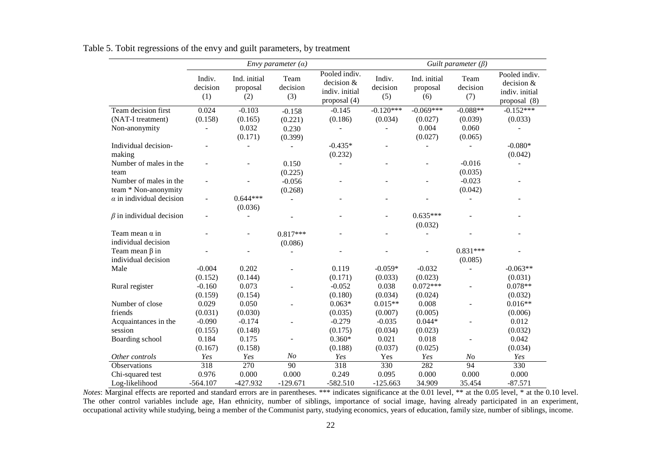|                                                |                           | Envy parameter $(a)$            |                         |                                                               |                           | Guilt parameter $(\beta)$       |                         |                                                               |  |
|------------------------------------------------|---------------------------|---------------------------------|-------------------------|---------------------------------------------------------------|---------------------------|---------------------------------|-------------------------|---------------------------------------------------------------|--|
|                                                | Indiv.<br>decision<br>(1) | Ind. initial<br>proposal<br>(2) | Team<br>decision<br>(3) | Pooled indiv.<br>decision &<br>indiv. initial<br>proposal (4) | Indiv.<br>decision<br>(5) | Ind. initial<br>proposal<br>(6) | Team<br>decision<br>(7) | Pooled indiv.<br>decision &<br>indiv. initial<br>proposal (8) |  |
| Team decision first                            | 0.024                     | $-0.103$                        | $-0.158$                | $-0.145$                                                      | $-0.120***$               | $-0.069***$                     | $-0.088**$              | $-0.152***$                                                   |  |
| (NAT-I treatment)                              | (0.158)                   | (0.165)                         | (0.221)                 | (0.186)                                                       | (0.034)                   | (0.027)                         | (0.039)                 | (0.033)                                                       |  |
| Non-anonymity                                  |                           | 0.032<br>(0.171)                | 0.230<br>(0.399)        |                                                               |                           | 0.004<br>(0.027)                | 0.060<br>(0.065)        |                                                               |  |
| Individual decision-<br>making                 |                           |                                 |                         | $-0.435*$<br>(0.232)                                          |                           |                                 |                         | $-0.080*$<br>(0.042)                                          |  |
| Number of males in the<br>team                 |                           |                                 | 0.150<br>(0.225)        |                                                               |                           |                                 | $-0.016$<br>(0.035)     |                                                               |  |
| Number of males in the<br>team * Non-anonymity |                           |                                 | $-0.056$<br>(0.268)     |                                                               |                           |                                 | $-0.023$<br>(0.042)     |                                                               |  |
| $\alpha$ in individual decision                | $\overline{\phantom{a}}$  | $0.644***$<br>(0.036)           |                         |                                                               |                           |                                 |                         |                                                               |  |
| $\beta$ in individual decision                 |                           |                                 |                         |                                                               |                           | $0.635***$<br>(0.032)           |                         |                                                               |  |
| Team mean $\alpha$ in                          |                           |                                 | $0.817***$              |                                                               |                           |                                 |                         |                                                               |  |
| individual decision                            |                           |                                 | (0.086)                 |                                                               |                           |                                 |                         |                                                               |  |
| Team mean $\beta$ in<br>individual decision    |                           |                                 |                         |                                                               |                           |                                 | $0.831***$<br>(0.085)   |                                                               |  |
| Male                                           | $-0.004$                  | 0.202                           |                         | 0.119                                                         | $-0.059*$                 | $-0.032$                        |                         | $-0.063**$                                                    |  |
|                                                | (0.152)                   | (0.144)                         |                         | (0.171)                                                       | (0.033)                   | (0.023)                         |                         | (0.031)                                                       |  |
| Rural register                                 | $-0.160$                  | 0.073                           |                         | $-0.052$                                                      | 0.038                     | $0.072***$                      |                         | $0.078**$                                                     |  |
|                                                | (0.159)                   | (0.154)                         |                         | (0.180)                                                       | (0.034)                   | (0.024)                         |                         | (0.032)                                                       |  |
| Number of close                                | 0.029                     | 0.050                           |                         | $0.063*$                                                      | $0.015**$                 | 0.008                           |                         | $0.016**$                                                     |  |
| friends                                        | (0.031)                   | (0.030)                         |                         | (0.035)                                                       | (0.007)                   | (0.005)                         |                         | (0.006)                                                       |  |
| Acquaintances in the                           | $-0.090$                  | $-0.174$                        |                         | $-0.279$                                                      | $-0.035$                  | $0.044*$                        |                         | 0.012                                                         |  |
| session                                        | (0.155)                   | (0.148)                         |                         | (0.175)                                                       | (0.034)                   | (0.023)                         |                         | (0.032)                                                       |  |
| Boarding school                                | 0.184                     | 0.175                           |                         | $0.360*$                                                      | 0.021                     | 0.018                           |                         | 0.042                                                         |  |
|                                                | (0.167)                   | (0.158)                         |                         | (0.188)                                                       | (0.037)                   | (0.025)                         |                         | (0.034)                                                       |  |
| Other controls                                 | Yes                       | Yes                             | N <sub>O</sub>          | Yes                                                           | Yes                       | Yes                             | N <sub>o</sub>          | Yes                                                           |  |
| Observations                                   | 318                       | 270                             | 90                      | 318                                                           | 330                       | 282                             | 94                      | 330                                                           |  |
| Chi-squared test                               | 0.976                     | 0.000                           | 0.000                   | 0.249                                                         | 0.095                     | 0.000                           | 0.000                   | 0.000                                                         |  |
| Log-likelihood                                 | $-564.107$                | $-427.932$                      | $-129.671$              | $-582.510$                                                    | $-125.663$                | 34.909                          | 35.454                  | $-87.571$                                                     |  |

Table 5. Tobit regressions of the envy and guilt parameters, by treatment

Log-likelihood 564.107 -427.932 -129.671 -582.510 -125.663 34.909 35.454 -87.571<br>Notes: Marginal effects are reported and standard errors are in parentheses. \*\*\* indicates significance at the 0.01 level, \*\* at the 0.05 lev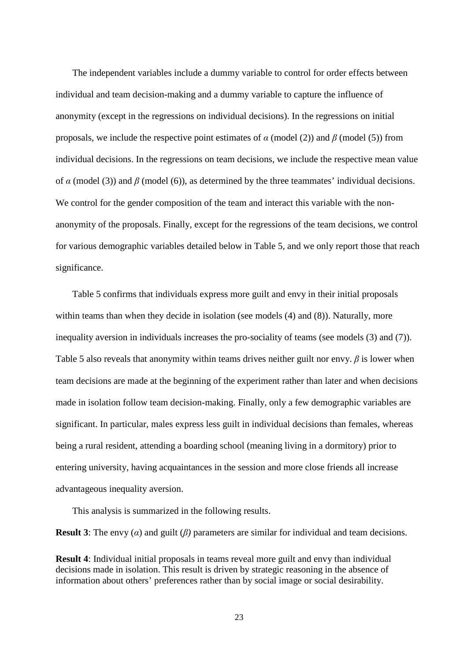The independent variables include a dummy variable to control for order effects between individual and team decision-making and a dummy variable to capture the influence of anonymity (except in the regressions on individual decisions). In the regressions on initial proposals, we include the respective point estimates of *α* (model (2)) and *β* (model (5)) from individual decisions. In the regressions on team decisions, we include the respective mean value of  $\alpha$  (model (3)) and  $\beta$  (model (6)), as determined by the three teammates' individual decisions. We control for the gender composition of the team and interact this variable with the nonanonymity of the proposals. Finally, except for the regressions of the team decisions, we control for various demographic variables detailed below in Table 5, and we only report those that reach significance.

Table 5 confirms that individuals express more guilt and envy in their initial proposals within teams than when they decide in isolation (see models (4) and (8)). Naturally, more inequality aversion in individuals increases the pro-sociality of teams (see models (3) and (7)). Table 5 also reveals that anonymity within teams drives neither guilt nor envy. *β* is lower when team decisions are made at the beginning of the experiment rather than later and when decisions made in isolation follow team decision-making. Finally, only a few demographic variables are significant. In particular, males express less guilt in individual decisions than females, whereas being a rural resident, attending a boarding school (meaning living in a dormitory) prior to entering university, having acquaintances in the session and more close friends all increase advantageous inequality aversion.

This analysis is summarized in the following results.

**Result 3**: The envy (*α*) and guilt (*β)* parameters are similar for individual and team decisions.

**Result 4**: Individual initial proposals in teams reveal more guilt and envy than individual decisions made in isolation. This result is driven by strategic reasoning in the absence of information about others' preferences rather than by social image or social desirability.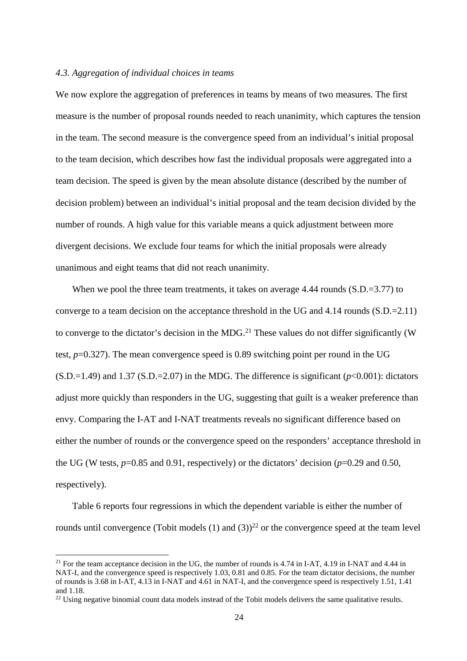## *4.3. Aggregation of individual choices in teams*

We now explore the aggregation of preferences in teams by means of two measures. The first measure is the number of proposal rounds needed to reach unanimity, which captures the tension in the team. The second measure is the convergence speed from an individual's initial proposal to the team decision, which describes how fast the individual proposals were aggregated into a team decision. The speed is given by the mean absolute distance (described by the number of decision problem) between an individual's initial proposal and the team decision divided by the number of rounds. A high value for this variable means a quick adjustment between more divergent decisions. We exclude four teams for which the initial proposals were already unanimous and eight teams that did not reach unanimity.

When we pool the three team treatments, it takes on average 4.44 rounds (S.D.=3.77) to converge to a team decision on the acceptance threshold in the UG and 4.14 rounds (S.D.=2.11) to converge to the dictator's decision in the MDG.<sup>21</sup> These values do not differ significantly (W test, *p*=0.327). The mean convergence speed is 0.89 switching point per round in the UG  $(S.D.=1.49)$  and 1.37  $(S.D.=2.07)$  in the MDG. The difference is significant ( $p<0.001$ ): dictators adjust more quickly than responders in the UG, suggesting that guilt is a weaker preference than envy. Comparing the I-AT and I-NAT treatments reveals no significant difference based on either the number of rounds or the convergence speed on the responders' acceptance threshold in the UG (W tests,  $p=0.85$  and 0.91, respectively) or the dictators' decision ( $p=0.29$  and 0.50, respectively).

Table 6 reports four regressions in which the dependent variable is either the number of rounds until convergence (Tobit models (1) and (3))<sup>22</sup> or the convergence speed at the team level

 $\overline{a}$ 

<sup>&</sup>lt;sup>21</sup> For the team acceptance decision in the UG, the number of rounds is 4.74 in I-AT, 4.19 in I-NAT and 4.44 in NAT-I, and the convergence speed is respectively 1.03, 0.81 and 0.85. For the team dictator decisions, the number of rounds is 3.68 in I-AT, 4.13 in I-NAT and 4.61 in NAT-I, and the convergence speed is respectively 1.51, 1.41 and 1.18.

 $^{22}$  Using negative binomial count data models instead of the Tobit models delivers the same qualitative results.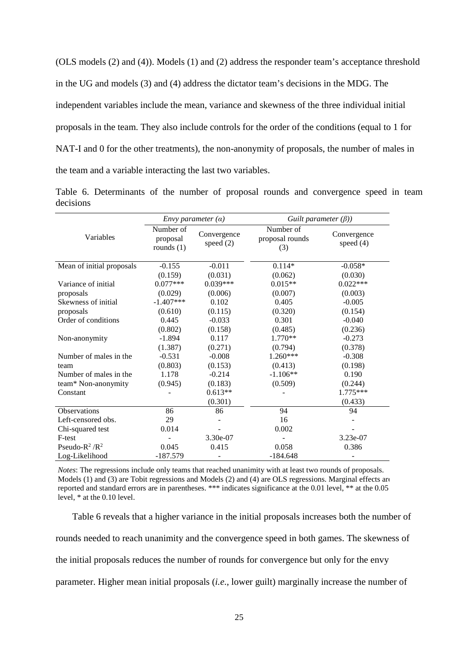(OLS models (2) and (4)). Models (1) and (2) address the responder team's acceptance threshold in the UG and models (3) and (4) address the dictator team's decisions in the MDG. The independent variables include the mean, variance and skewness of the three individual initial proposals in the team. They also include controls for the order of the conditions (equal to 1 for NAT-I and 0 for the other treatments), the non-anonymity of proposals, the number of males in the team and a variable interacting the last two variables.

Table 6. Determinants of the number of proposal rounds and convergence speed in team decisions

|                           |                                       | Envy parameter $(a)$       | Guilt parameter $(\beta)$ )         |                            |
|---------------------------|---------------------------------------|----------------------------|-------------------------------------|----------------------------|
| Variables                 | Number of<br>proposal<br>rounds $(1)$ | Convergence<br>speed $(2)$ | Number of<br>proposal rounds<br>(3) | Convergence<br>speed $(4)$ |
| Mean of initial proposals | $-0.155$                              | $-0.011$                   | $0.114*$                            | $-0.058*$                  |
|                           | (0.159)                               | (0.031)                    | (0.062)                             | (0.030)                    |
| Variance of initial       | $0.077***$                            | $0.039***$                 | $0.015**$                           | $0.022***$                 |
| proposals                 | (0.029)                               | (0.006)                    | (0.007)                             | (0.003)                    |
| Skewness of initial       | $-1.407***$                           | 0.102                      | 0.405                               | $-0.005$                   |
| proposals                 | (0.610)                               | (0.115)                    | (0.320)                             | (0.154)                    |
| Order of conditions       | 0.445                                 | $-0.033$                   | 0.301                               | $-0.040$                   |
|                           | (0.802)                               | (0.158)                    | (0.485)                             | (0.236)                    |
| Non-anonymity             | $-1.894$                              | 0.117                      | $1.770**$                           | $-0.273$                   |
|                           | (1.387)                               | (0.271)                    | (0.794)                             | (0.378)                    |
| Number of males in the    | $-0.531$                              | $-0.008$                   | 1.260***                            | $-0.308$                   |
| team                      | (0.803)                               | (0.153)                    | (0.413)                             | (0.198)                    |
| Number of males in the    | 1.178                                 | $-0.214$                   | $-1.106**$                          | 0.190                      |
| team* Non-anonymity       | (0.945)                               | (0.183)                    | (0.509)                             | (0.244)                    |
| Constant                  |                                       | $0.613**$                  |                                     | 1.775***                   |
|                           |                                       | (0.301)                    |                                     | (0.433)                    |
| Observations              | 86                                    | 86                         | 94                                  | 94                         |
| Left-censored obs.        | 29                                    |                            | 16                                  |                            |
| Chi-squared test          | 0.014                                 |                            | 0.002                               |                            |
| F-test                    |                                       | 3.30e-07                   |                                     | 3.23e-07                   |
| Pseudo- $R^2/R^2$         | 0.045                                 | 0.415                      | 0.058                               | 0.386                      |
| Log-Likelihood            | $-187.579$                            |                            | $-184.648$                          |                            |

*Notes*: The regressions include only teams that reached unanimity with at least two rounds of proposals. Models (1) and (3) are Tobit regressions and Models (2) and (4) are OLS regressions. Marginal effects are reported and standard errors are in parentheses. \*\*\* indicates significance at the 0.01 level, \*\* at the 0.05 level, \* at the 0.10 level.

Table 6 reveals that a higher variance in the initial proposals increases both the number of rounds needed to reach unanimity and the convergence speed in both games. The skewness of the initial proposals reduces the number of rounds for convergence but only for the envy parameter. Higher mean initial proposals (*i.e*., lower guilt) marginally increase the number of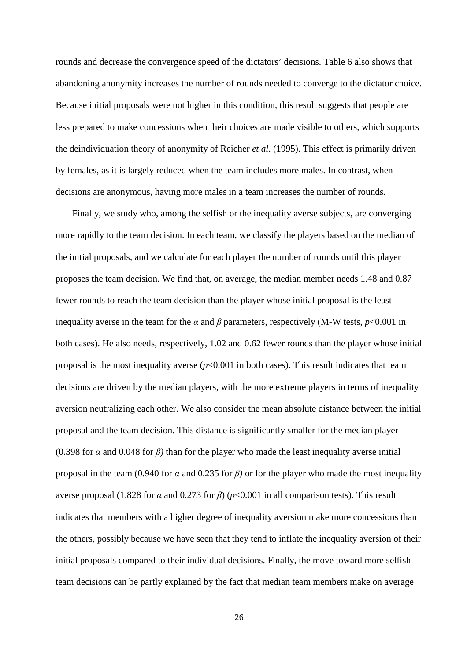rounds and decrease the convergence speed of the dictators' decisions. Table 6 also shows that abandoning anonymity increases the number of rounds needed to converge to the dictator choice. Because initial proposals were not higher in this condition, this result suggests that people are less prepared to make concessions when their choices are made visible to others, which supports the deindividuation theory of anonymity of Reicher *et al*. (1995). This effect is primarily driven by females, as it is largely reduced when the team includes more males. In contrast, when decisions are anonymous, having more males in a team increases the number of rounds.

Finally, we study who, among the selfish or the inequality averse subjects, are converging more rapidly to the team decision. In each team, we classify the players based on the median of the initial proposals, and we calculate for each player the number of rounds until this player proposes the team decision. We find that, on average, the median member needs 1.48 and 0.87 fewer rounds to reach the team decision than the player whose initial proposal is the least inequality averse in the team for the  $\alpha$  and  $\beta$  parameters, respectively (M-W tests,  $p<0.001$  in both cases). He also needs, respectively, 1.02 and 0.62 fewer rounds than the player whose initial proposal is the most inequality averse  $(p<0.001$  in both cases). This result indicates that team decisions are driven by the median players, with the more extreme players in terms of inequality aversion neutralizing each other. We also consider the mean absolute distance between the initial proposal and the team decision. This distance is significantly smaller for the median player (0.398 for *α* and 0.048 for *β)* than for the player who made the least inequality averse initial proposal in the team (0.940 for *α* and 0.235 for *β)* or for the player who made the most inequality averse proposal (1.828 for  $\alpha$  and 0.273 for  $\beta$ ) ( $p$ <0.001 in all comparison tests). This result indicates that members with a higher degree of inequality aversion make more concessions than the others, possibly because we have seen that they tend to inflate the inequality aversion of their initial proposals compared to their individual decisions. Finally, the move toward more selfish team decisions can be partly explained by the fact that median team members make on average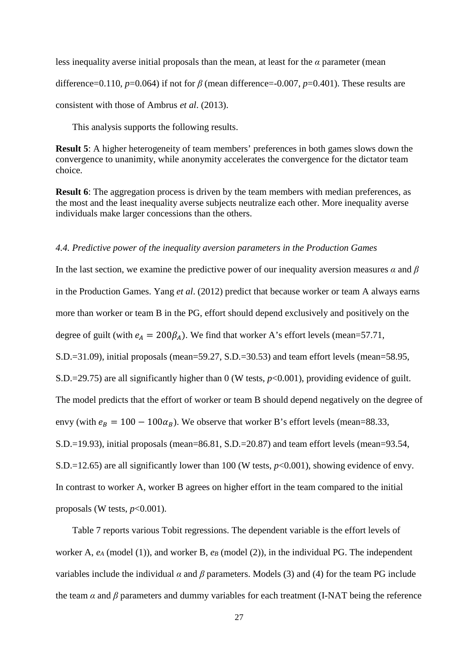less inequality averse initial proposals than the mean, at least for the *α* parameter (mean difference=0.110, *p*=0.064) if not for *β* (mean difference=-0.007, *p*=0.401). These results are consistent with those of Ambrus *et al*. (2013).

This analysis supports the following results.

**Result 5**: A higher heterogeneity of team members' preferences in both games slows down the convergence to unanimity, while anonymity accelerates the convergence for the dictator team choice.

**Result 6**: The aggregation process is driven by the team members with median preferences, as the most and the least inequality averse subjects neutralize each other. More inequality averse individuals make larger concessions than the others.

## *4.4. Predictive power of the inequality aversion parameters in the Production Games*

In the last section, we examine the predictive power of our inequality aversion measures  $\alpha$  and  $\beta$ in the Production Games. Yang *et al*. (2012) predict that because worker or team A always earns more than worker or team B in the PG, effort should depend exclusively and positively on the degree of guilt (with  $e_A = 200\beta_A$ ). We find that worker A's effort levels (mean=57.71, S.D.=31.09), initial proposals (mean=59.27, S.D.=30.53) and team effort levels (mean=58.95, S.D.=29.75) are all significantly higher than 0 (W tests,  $p<0.001$ ), providing evidence of guilt. The model predicts that the effort of worker or team B should depend negatively on the degree of envy (with  $e_B = 100 - 100\alpha_B$ ). We observe that worker B's effort levels (mean=88.33, S.D.=19.93), initial proposals (mean=86.81, S.D.=20.87) and team effort levels (mean=93.54, S.D.=12.65) are all significantly lower than 100 (W tests,  $p<0.001$ ), showing evidence of envy. In contrast to worker A, worker B agrees on higher effort in the team compared to the initial proposals (W tests,  $p<0.001$ ).

Table 7 reports various Tobit regressions. The dependent variable is the effort levels of worker A, *eA* (model (1)), and worker B, *eB* (model (2)), in the individual PG. The independent variables include the individual  $\alpha$  and  $\beta$  parameters. Models (3) and (4) for the team PG include the team  $\alpha$  and  $\beta$  parameters and dummy variables for each treatment (I-NAT being the reference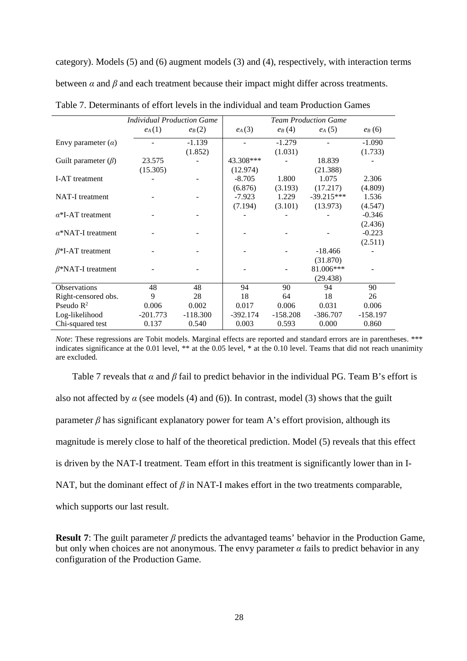category). Models (5) and (6) augment models (3) and (4), respectively, with interaction terms between  $\alpha$  and  $\beta$  and each treatment because their impact might differ across treatments.

|                                      | <b>Individual Production Game</b> |            |            |            |              |            |
|--------------------------------------|-----------------------------------|------------|------------|------------|--------------|------------|
|                                      | $e_A(1)$                          | $e_B(2)$   | $e_A(3)$   | $e_B(4)$   | $e_{A}(5)$   | $e_B(6)$   |
| Envy parameter $(\alpha)$            |                                   | $-1.139$   |            | $-1.279$   |              | $-1.090$   |
|                                      |                                   | (1.852)    |            | (1.031)    |              | (1.733)    |
| Guilt parameter $(\beta)$            | 23.575                            |            | 43.308***  |            | 18.839       |            |
|                                      | (15.305)                          |            | (12.974)   |            | (21.388)     |            |
| I-AT treatment                       |                                   |            | $-8.705$   | 1.800      | 1.075        | 2.306      |
|                                      |                                   |            | (6.876)    | (3.193)    | (17.217)     | (4.809)    |
| NAT-I treatment                      |                                   |            | $-7.923$   | 1.229      | $-39.215***$ | 1.536      |
|                                      |                                   |            | (7.194)    | (3.101)    | (13.973)     | (4.547)    |
| $\alpha$ <sup>*</sup> I-AT treatment |                                   |            |            |            |              | $-0.346$   |
|                                      |                                   |            |            |            |              | (2.436)    |
| $\alpha$ *NAT-I treatment            |                                   |            |            |            |              | $-0.223$   |
|                                      |                                   |            |            |            |              | (2.511)    |
| $\beta$ *I-AT treatment              |                                   |            |            |            | $-18.466$    |            |
|                                      |                                   |            |            |            | (31.870)     |            |
| $\beta$ *NAT-I treatment             |                                   |            |            |            | 81.006***    |            |
|                                      |                                   |            |            |            | (29.438)     |            |
| Observations                         | 48                                | 48         | 94         | 90         | 94           | 90         |
| Right-censored obs.                  | 9                                 | 28         | 18         | 64         | 18           | 26         |
| Pseudo $R^2$                         | 0.006                             | 0.002      | 0.017      | 0.006      | 0.031        | 0.006      |
| Log-likelihood                       | $-201.773$                        | $-118.300$ | $-392.174$ | $-158.208$ | $-386.707$   | $-158.197$ |
| Chi-squared test                     | 0.137                             | 0.540      | 0.003      | 0.593      | 0.000        | 0.860      |

Table 7. Determinants of effort levels in the individual and team Production Games

*Note*: These regressions are Tobit models. Marginal effects are reported and standard errors are in parentheses. \*\*\* indicates significance at the 0.01 level, \*\* at the 0.05 level, \* at the 0.10 level. Teams that did not reach unanimity are excluded.

Table 7 reveals that *α* and *β* fail to predict behavior in the individual PG. Team B's effort is also not affected by  $\alpha$  (see models (4) and (6)). In contrast, model (3) shows that the guilt parameter  $\beta$  has significant explanatory power for team A's effort provision, although its magnitude is merely close to half of the theoretical prediction. Model (5) reveals that this effect is driven by the NAT-I treatment. Team effort in this treatment is significantly lower than in I-NAT, but the dominant effect of *β* in NAT-I makes effort in the two treatments comparable, which supports our last result.

**Result 7**: The guilt parameter *β* predicts the advantaged teams' behavior in the Production Game, but only when choices are not anonymous. The envy parameter  $\alpha$  fails to predict behavior in any configuration of the Production Game.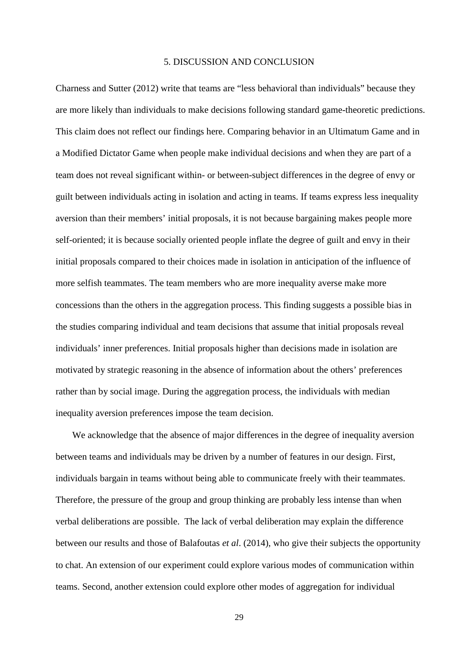## 5. DISCUSSION AND CONCLUSION

Charness and Sutter (2012) write that teams are "less behavioral than individuals" because they are more likely than individuals to make decisions following standard game-theoretic predictions. This claim does not reflect our findings here. Comparing behavior in an Ultimatum Game and in a Modified Dictator Game when people make individual decisions and when they are part of a team does not reveal significant within- or between-subject differences in the degree of envy or guilt between individuals acting in isolation and acting in teams. If teams express less inequality aversion than their members' initial proposals, it is not because bargaining makes people more self-oriented; it is because socially oriented people inflate the degree of guilt and envy in their initial proposals compared to their choices made in isolation in anticipation of the influence of more selfish teammates. The team members who are more inequality averse make more concessions than the others in the aggregation process. This finding suggests a possible bias in the studies comparing individual and team decisions that assume that initial proposals reveal individuals' inner preferences. Initial proposals higher than decisions made in isolation are motivated by strategic reasoning in the absence of information about the others' preferences rather than by social image. During the aggregation process, the individuals with median inequality aversion preferences impose the team decision.

We acknowledge that the absence of major differences in the degree of inequality aversion between teams and individuals may be driven by a number of features in our design. First, individuals bargain in teams without being able to communicate freely with their teammates. Therefore, the pressure of the group and group thinking are probably less intense than when verbal deliberations are possible. The lack of verbal deliberation may explain the difference between our results and those of Balafoutas *et al*. (2014), who give their subjects the opportunity to chat. An extension of our experiment could explore various modes of communication within teams. Second, another extension could explore other modes of aggregation for individual

29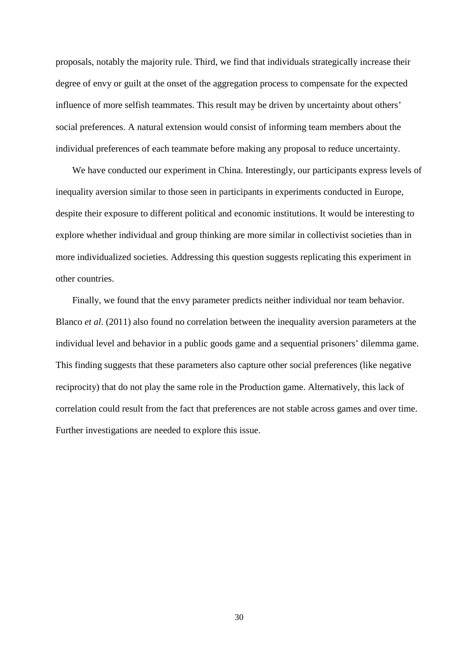proposals, notably the majority rule. Third, we find that individuals strategically increase their degree of envy or guilt at the onset of the aggregation process to compensate for the expected influence of more selfish teammates. This result may be driven by uncertainty about others' social preferences. A natural extension would consist of informing team members about the individual preferences of each teammate before making any proposal to reduce uncertainty.

We have conducted our experiment in China. Interestingly, our participants express levels of inequality aversion similar to those seen in participants in experiments conducted in Europe, despite their exposure to different political and economic institutions. It would be interesting to explore whether individual and group thinking are more similar in collectivist societies than in more individualized societies. Addressing this question suggests replicating this experiment in other countries.

Finally, we found that the envy parameter predicts neither individual nor team behavior. Blanco *et al*. (2011) also found no correlation between the inequality aversion parameters at the individual level and behavior in a public goods game and a sequential prisoners' dilemma game. This finding suggests that these parameters also capture other social preferences (like negative reciprocity) that do not play the same role in the Production game. Alternatively, this lack of correlation could result from the fact that preferences are not stable across games and over time. Further investigations are needed to explore this issue.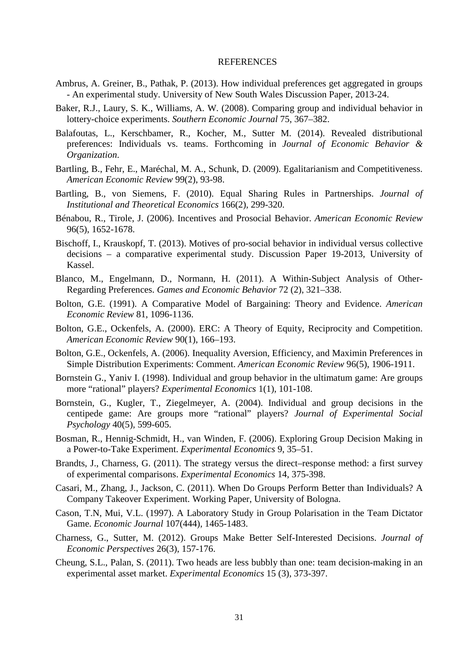### **REFERENCES**

- Ambrus, A. Greiner, B., Pathak, P. (2013). How individual preferences get aggregated in groups - An experimental study. University of New South Wales Discussion Paper, 2013-24.
- Baker, R.J., Laury, S. K., Williams, A. W. (2008). Comparing group and individual behavior in lottery-choice experiments. *Southern Economic Journal* 75, 367–382.
- Balafoutas, L., Kerschbamer, R., Kocher, M., Sutter M. (2014). Revealed distributional preferences: Individuals vs. teams. Forthcoming in *Journal of Economic Behavior & Organization*.
- Bartling, B., Fehr, E., Maréchal, M. A., Schunk, D. (2009). Egalitarianism and Competitiveness. *American Economic Review* 99(2), 93-98.
- Bartling, B., von Siemens, F. (2010). Equal Sharing Rules in Partnerships. *Journal of Institutional and Theoretical Economics* 166(2), 299-320.
- Bénabou, R., Tirole, J. (2006). Incentives and Prosocial Behavior. *American Economic Review* 96(5), 1652-1678.
- Bischoff, I., Krauskopf, T. (2013). Motives of pro-social behavior in individual versus collective decisions – a comparative experimental study. Discussion Paper 19-2013, University of Kassel.
- Blanco, M., Engelmann, D., Normann, H. (2011). A Within-Subject Analysis of Other-Regarding Preferences. *Games and Economic Behavior* 72 (2), 321–338.
- Bolton, G.E. (1991). A Comparative Model of Bargaining: Theory and Evidence. *American Economic Review* 81, 1096-1136.
- Bolton, G.E., Ockenfels, A. (2000). ERC: A Theory of Equity, Reciprocity and Competition. *American Economic Review* 90(1), 166–193.
- Bolton, G.E., Ockenfels, A. (2006). Inequality Aversion, Efficiency, and Maximin Preferences in Simple Distribution Experiments: Comment. *American Economic Review* 96(5), 1906-1911.
- Bornstein G., Yaniv I. (1998). Individual and group behavior in the ultimatum game: Are groups more "rational" players? *Experimental Economics* 1(1), 101-108.
- Bornstein, G., Kugler, T., Ziegelmeyer, A. (2004). Individual and group decisions in the centipede game: Are groups more "rational" players? *Journal of Experimental Social Psychology* 40(5), 599-605.
- Bosman, R., Hennig-Schmidt, H., van Winden, F. (2006). Exploring Group Decision Making in a Power-to-Take Experiment. *Experimental Economics* 9, 35–51.
- Brandts, J., Charness, G. (2011). The strategy versus the direct–response method: a first survey of experimental comparisons. *Experimental Economics* 14, 375-398.
- Casari, M., Zhang, J., Jackson, C. (2011). When Do Groups Perform Better than Individuals? A Company Takeover Experiment. Working Paper, University of Bologna.
- Cason, T.N, Mui, V.L. (1997). A Laboratory Study in Group Polarisation in the Team Dictator Game. *Economic Journal* 107(444), 1465-1483.
- Charness, G., Sutter, M. (2012). Groups Make Better Self-Interested Decisions. *Journal of Economic Perspectives* 26(3), 157-176.
- Cheung, S.L., Palan, S. (2011). Two heads are less bubbly than one: team decision-making in an experimental asset market. *Experimental Economics* 15 (3), 373-397.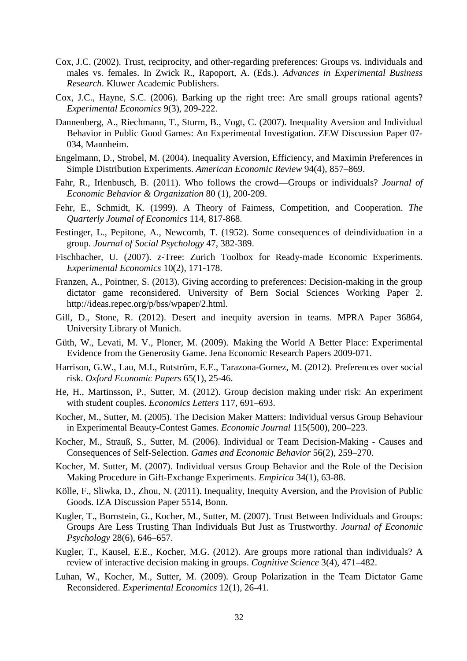- Cox, J.C. (2002). Trust, reciprocity, and other-regarding preferences: Groups vs. individuals and males vs. females. In Zwick R., Rapoport, A. (Eds.). *Advances in Experimental Business Research*. Kluwer Academic Publishers.
- Cox, J.C., Hayne, S.C. (2006). Barking up the right tree: Are small groups rational agents? *Experimental Economics* 9(3), 209-222.
- Dannenberg, A., Riechmann, T., Sturm, B., Vogt, C. (2007). Inequality Aversion and Individual Behavior in Public Good Games: An Experimental Investigation. ZEW Discussion Paper 07- 034, Mannheim.
- Engelmann, D., Strobel, M. (2004). Inequality Aversion, Efficiency, and Maximin Preferences in Simple Distribution Experiments. *American Economic Review* 94(4), 857–869.
- Fahr, R., Irlenbusch, B. (2011). Who follows the crowd—Groups or individuals? *Journal of Economic Behavior & Organization* 80 (1), 200-209.
- Fehr, E., Schmidt, K. (1999). A Theory of Faimess, Competition, and Cooperation. *The Quarterly Joumal of Economics* 114, 817-868.
- Festinger, L., Pepitone, A., Newcomb, T. (1952). Some consequences of deindividuation in a group. *Journal of Social Psychology* 47, 382-389.
- Fischbacher, U. (2007). z-Tree: Zurich Toolbox for Ready-made Economic Experiments. *Experimental Economics* 10(2), 171-178.
- Franzen, A., Pointner, S. (2013). Giving according to preferences: Decision-making in the group dictator game reconsidered. University of Bern Social Sciences Working Paper 2. http://ideas.repec.org/p/bss/wpaper/2.html.
- Gill, D., Stone, R. (2012). Desert and inequity aversion in teams. MPRA Paper 36864, University Library of Munich.
- Güth, W., Levati, M. V., Ploner, M. (2009). Making the World A Better Place: Experimental Evidence from the Generosity Game. Jena Economic Research Papers 2009-071.
- Harrison, G.W., Lau, M.I., Rutström, E.E., Tarazona-Gomez, M. (2012). Preferences over social risk. *Oxford Economic Papers* 65(1), 25-46.
- He, H., Martinsson, P., Sutter, M. (2012). Group decision making under risk: An experiment with student couples. *Economics Letters* 117, 691–693.
- Kocher, M., Sutter, M. (2005). The Decision Maker Matters: Individual versus Group Behaviour in Experimental Beauty-Contest Games. *Economic Journal* 115(500), 200–223.
- Kocher, M., Strauß, S., Sutter, M. (2006). Individual or Team Decision-Making Causes and Consequences of Self-Selection. *Games and Economic Behavior* 56(2), 259–270.
- Kocher, M. Sutter, M. (2007). Individual versus Group Behavior and the Role of the Decision Making Procedure in Gift-Exchange Experiments. *Empirica* 34(1), 63-88.
- Kölle, F., Sliwka, D., Zhou, N. (2011). Inequality, Inequity Aversion, and the Provision of Public Goods. IZA Discussion Paper 5514, Bonn.
- Kugler, T., Bornstein, G., Kocher, M., Sutter, M. (2007). Trust Between Individuals and Groups: Groups Are Less Trusting Than Individuals But Just as Trustworthy. *Journal of Economic Psychology* 28(6), 646–657.
- Kugler, T., Kausel, E.E., Kocher, M.G. (2012). Are groups more rational than individuals? A review of interactive decision making in groups. *Cognitive Science* 3(4), 471–482.
- Luhan, W., Kocher, M., Sutter, M. (2009). Group Polarization in the Team Dictator Game Reconsidered. *Experimental Economics* 12(1), 26-41.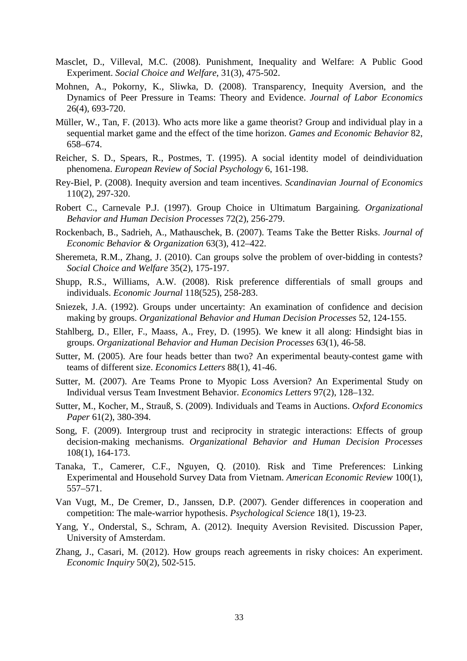- Masclet, D., Villeval, M.C. (2008). Punishment, Inequality and Welfare: A Public Good Experiment. *Social Choice and Welfare*, 31(3), 475-502.
- Mohnen, A., Pokorny, K., Sliwka, D. (2008). Transparency, Inequity Aversion, and the Dynamics of Peer Pressure in Teams: Theory and Evidence. *Journal of Labor Economics* 26(4), 693-720.
- Müller, W., Tan, F. (2013). Who acts more like a game theorist? Group and individual play in a sequential market game and the effect of the time horizon. *Games and Economic Behavior* 82, 658–674.
- Reicher, S. D., Spears, R., Postmes, T. (1995). A social identity model of deindividuation phenomena. *European Review of Social Psychology* 6, 161-198.
- Rey-Biel, P. (2008). Inequity aversion and team incentives. *Scandinavian Journal of Economics* 110(2), 297-320.
- Robert C., Carnevale P.J. (1997). Group Choice in Ultimatum Bargaining. *Organizational Behavior and Human Decision Processes* 72(2), 256-279.
- Rockenbach, B., Sadrieh, A., Mathauschek, B. (2007). Teams Take the Better Risks. *Journal of Economic Behavior & Organization* 63(3), 412–422.
- Sheremeta, R.M., Zhang, J. (2010). Can groups solve the problem of over-bidding in contests? *Social Choice and Welfare* 35(2), 175-197.
- Shupp, R.S., Williams, A.W. (2008). Risk preference differentials of small groups and individuals. *Economic Journal* 118(525), 258-283.
- Sniezek, J.A. (1992). Groups under uncertainty: An examination of confidence and decision making by groups. *Organizational Behavior and Human Decision Processes* 52, 124-155.
- Stahlberg, D., Eller, F., Maass, A., Frey, D. (1995). We knew it all along: Hindsight bias in groups. *Organizational Behavior and Human Decision Processes* 63(1), 46-58.
- Sutter, M. (2005). Are four heads better than two? An experimental beauty-contest game with teams of different size. *Economics Letters* 88(1), 41-46.
- Sutter, M. (2007). Are Teams Prone to Myopic Loss Aversion? An Experimental Study on Individual versus Team Investment Behavior. *Economics Letters* 97(2), 128–132.
- Sutter, M., Kocher, M., Strauß, S. (2009). Individuals and Teams in Auctions. *Oxford Economics Paper* 61(2), 380-394.
- Song, F. (2009). Intergroup trust and reciprocity in strategic interactions: Effects of group decision-making mechanisms. *Organizational Behavior and Human Decision Processes* 108(1), 164-173.
- Tanaka, T., Camerer, C.F., Nguyen, Q. (2010). Risk and Time Preferences: Linking Experimental and Household Survey Data from Vietnam. *American Economic Review* 100(1), 557–571.
- Van Vugt, M., De Cremer, D., Janssen, D.P. (2007). Gender differences in cooperation and competition: The male-warrior hypothesis. *Psychological Science* 18(1), 19-23.
- Yang, Y., Onderstal, S., Schram, A. (2012). Inequity Aversion Revisited. Discussion Paper, University of Amsterdam.
- Zhang, J., Casari, M. (2012). How groups reach agreements in risky choices: An experiment. *Economic Inquiry* 50(2), 502-515.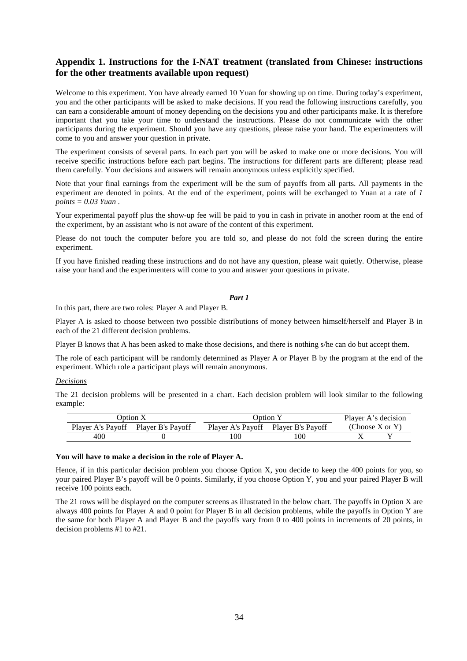## **Appendix 1. Instructions for the I-NAT treatment (translated from Chinese: instructions for the other treatments available upon request)**

Welcome to this experiment. You have already earned 10 Yuan for showing up on time. During today's experiment, you and the other participants will be asked to make decisions. If you read the following instructions carefully, you can earn a considerable amount of money depending on the decisions you and other participants make. It is therefore important that you take your time to understand the instructions. Please do not communicate with the other participants during the experiment. Should you have any questions, please raise your hand. The experimenters will come to you and answer your question in private.

The experiment consists of several parts. In each part you will be asked to make one or more decisions. You will receive specific instructions before each part begins. The instructions for different parts are different; please read them carefully. Your decisions and answers will remain anonymous unless explicitly specified.

Note that your final earnings from the experiment will be the sum of payoffs from all parts. All payments in the experiment are denoted in points. At the end of the experiment, points will be exchanged to Yuan at a rate of *1 points = 0.03 Yuan* .

Your experimental payoff plus the show-up fee will be paid to you in cash in private in another room at the end of the experiment, by an assistant who is not aware of the content of this experiment.

Please do not touch the computer before you are told so, and please do not fold the screen during the entire experiment.

If you have finished reading these instructions and do not have any question, please wait quietly. Otherwise, please raise your hand and the experimenters will come to you and answer your questions in private.

### *Part 1*

In this part, there are two roles: Player A and Player B.

Player A is asked to choose between two possible distributions of money between himself/herself and Player B in each of the 21 different decision problems.

Player B knows that A has been asked to make those decisions, and there is nothing s/he can do but accept them.

The role of each participant will be randomly determined as Player A or Player B by the program at the end of the experiment. Which role a participant plays will remain anonymous.

#### *Decisions*

The 21 decision problems will be presented in a chart. Each decision problem will look similar to the following example:

|                   | $\rm{Dption~X}$   | Dption Y          | Player A's decision |                      |
|-------------------|-------------------|-------------------|---------------------|----------------------|
| Player A's Payoff | Player B's Payoff | Player A's Payoff | Player B's Payoff   | (Choose $X$ or $Y$ ) |
| 400               |                   | .00               | .00                 |                      |

#### **You will have to make a decision in the role of Player A.**

Hence, if in this particular decision problem you choose Option X, you decide to keep the 400 points for you, so your paired Player B's payoff will be 0 points. Similarly, if you choose Option Y, you and your paired Player B will receive 100 points each.

The 21 rows will be displayed on the computer screens as illustrated in the below chart. The payoffs in Option X are always 400 points for Player A and 0 point for Player B in all decision problems, while the payoffs in Option Y are the same for both Player A and Player B and the payoffs vary from 0 to 400 points in increments of 20 points, in decision problems #1 to #21.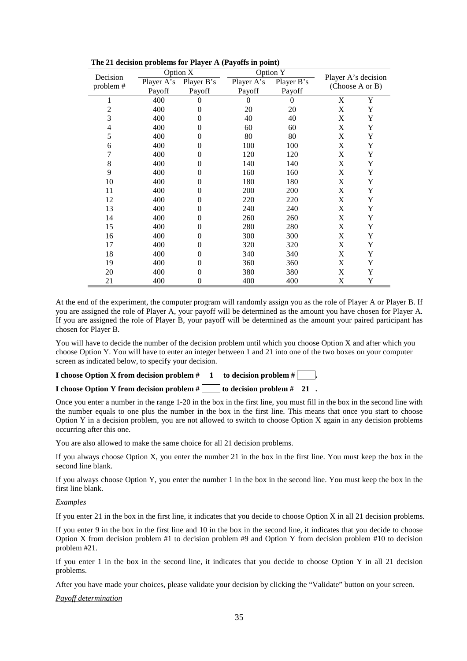|                      | Option X   |            |            | <b>Option Y</b> | Player A's decision       |   |
|----------------------|------------|------------|------------|-----------------|---------------------------|---|
| Decision<br>problem# | Player A's | Player B's | Player A's | Player B's      |                           |   |
|                      | Payoff     | Payoff     | Payoff     | Payoff          | (Choose A or B)           |   |
| 1                    | 400        | 0          | $\Omega$   | $\Omega$        | X                         | Y |
| $\overline{c}$       | 400        | 0          | 20         | 20              | X                         | Y |
| 3                    | 400        | 0          | 40         | 40              | X                         | Y |
| 4                    | 400        | 0          | 60         | 60              | X                         | Y |
| 5                    | 400        | 0          | 80         | 80              | $\mathbf X$               | Y |
| 6                    | 400        | 0          | 100        | 100             | $\mathbf X$               | Y |
| 7                    | 400        | $\theta$   | 120        | 120             | $\mathbf X$               | Y |
| 8                    | 400        | 0          | 140        | 140             | X                         | Y |
| 9                    | 400        | 0          | 160        | 160             | X                         | Y |
| 10                   | 400        | 0          | 180        | 180             | X                         | Y |
| 11                   | 400        | 0          | 200        | 200             | $\boldsymbol{\mathrm{X}}$ | Y |
| 12                   | 400        | 0          | 220        | 220             | X                         | Y |
| 13                   | 400        | 0          | 240        | 240             | X                         | Y |
| 14                   | 400        | $\theta$   | 260        | 260             | $\mathbf X$               | Y |
| 15                   | 400        | $\theta$   | 280        | 280             | $\mathbf X$               | Y |
| 16                   | 400        | $\theta$   | 300        | 300             | X                         | Y |
| 17                   | 400        | 0          | 320        | 320             | X                         | Y |
| 18                   | 400        | $\theta$   | 340        | 340             | X                         | Y |
| 19                   | 400        | 0          | 360        | 360             | $\mathbf X$               | Y |
| 20                   | 400        | 0          | 380        | 380             | X                         | Y |
| 21                   | 400        | 0          | 400        | 400             | X                         | Y |

**The 21 decision problems for Player A (Payoffs in point)** 

At the end of the experiment, the computer program will randomly assign you as the role of Player A or Player B. If you are assigned the role of Player A, your payoff will be determined as the amount you have chosen for Player A. If you are assigned the role of Player B, your payoff will be determined as the amount your paired participant has chosen for Player B.

You will have to decide the number of the decision problem until which you choose Option X and after which you choose Option Y. You will have to enter an integer between 1 and 21 into one of the two boxes on your computer screen as indicated below, to specify your decision.

## **I choose Option X from decision problem #** 1 to decision problem  $\sharp \lceil \cdot \rceil$

**I choose Option Y from decision problem # to decision problem # 21.** 

Once you enter a number in the range 1-20 in the box in the first line, you must fill in the box in the second line with the number equals to one plus the number in the box in the first line. This means that once you start to choose Option Y in a decision problem, you are not allowed to switch to choose Option X again in any decision problems occurring after this one.

You are also allowed to make the same choice for all 21 decision problems.

If you always choose Option X, you enter the number 21 in the box in the first line. You must keep the box in the second line blank.

If you always choose Option Y, you enter the number 1 in the box in the second line. You must keep the box in the first line blank.

#### *Examples*

If you enter 21 in the box in the first line, it indicates that you decide to choose Option X in all 21 decision problems.

If you enter 9 in the box in the first line and 10 in the box in the second line, it indicates that you decide to choose Option X from decision problem #1 to decision problem #9 and Option Y from decision problem #10 to decision problem #21.

If you enter 1 in the box in the second line, it indicates that you decide to choose Option Y in all 21 decision problems.

After you have made your choices, please validate your decision by clicking the "Validate" button on your screen.

*Payoff determination*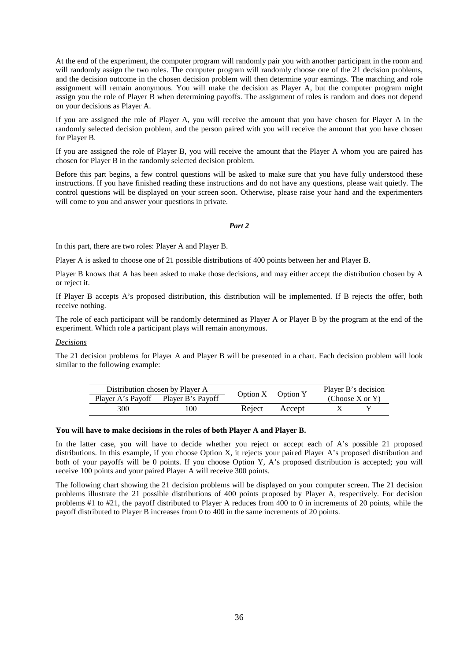At the end of the experiment, the computer program will randomly pair you with another participant in the room and will randomly assign the two roles. The computer program will randomly choose one of the 21 decision problems, and the decision outcome in the chosen decision problem will then determine your earnings. The matching and role assignment will remain anonymous. You will make the decision as Player A, but the computer program might assign you the role of Player B when determining payoffs. The assignment of roles is random and does not depend on your decisions as Player A.

If you are assigned the role of Player A, you will receive the amount that you have chosen for Player A in the randomly selected decision problem, and the person paired with you will receive the amount that you have chosen for Player B.

If you are assigned the role of Player B, you will receive the amount that the Player A whom you are paired has chosen for Player B in the randomly selected decision problem.

Before this part begins, a few control questions will be asked to make sure that you have fully understood these instructions. If you have finished reading these instructions and do not have any questions, please wait quietly. The control questions will be displayed on your screen soon. Otherwise, please raise your hand and the experimenters will come to you and answer your questions in private.

#### *Part 2*

In this part, there are two roles: Player A and Player B.

Player A is asked to choose one of 21 possible distributions of 400 points between her and Player B.

Player B knows that A has been asked to make those decisions, and may either accept the distribution chosen by A or reject it.

If Player B accepts A's proposed distribution, this distribution will be implemented. If B rejects the offer, both receive nothing.

The role of each participant will be randomly determined as Player A or Player B by the program at the end of the experiment. Which role a participant plays will remain anonymous.

#### *Decisions*

The 21 decision problems for Player A and Player B will be presented in a chart. Each decision problem will look similar to the following example:

|                   | Distribution chosen by Player A | Option X Option Y |        | Player B's decision |  |
|-------------------|---------------------------------|-------------------|--------|---------------------|--|
| Player A's Payoff | Player B's Payoff               |                   |        | (Choose X or Y)     |  |
| 300               | .00                             | Reject            | Accept |                     |  |

#### **You will have to make decisions in the roles of both Player A and Player B.**

In the latter case, you will have to decide whether you reject or accept each of A's possible 21 proposed distributions. In this example, if you choose Option X, it rejects your paired Player A's proposed distribution and both of your payoffs will be 0 points. If you choose Option Y, A's proposed distribution is accepted; you will receive 100 points and your paired Player A will receive 300 points.

The following chart showing the 21 decision problems will be displayed on your computer screen. The 21 decision problems illustrate the 21 possible distributions of 400 points proposed by Player A, respectively. For decision problems #1 to #21, the payoff distributed to Player A reduces from 400 to 0 in increments of 20 points, while the payoff distributed to Player B increases from 0 to 400 in the same increments of 20 points.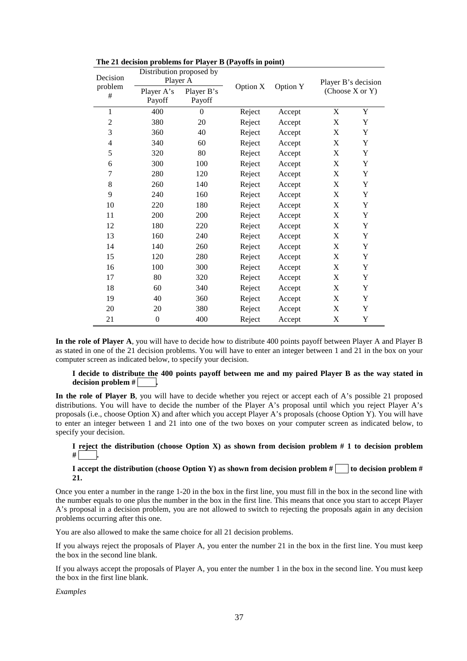| Decision<br>problem | Distribution proposed by<br>Player A |                      | Option X | <b>Option Y</b> | Player B's decision |                 |  |
|---------------------|--------------------------------------|----------------------|----------|-----------------|---------------------|-----------------|--|
| #                   | Player A's<br>Payoff                 | Player B's<br>Payoff |          |                 |                     | (Choose X or Y) |  |
| $\mathbf{1}$        | 400                                  | $\boldsymbol{0}$     | Reject   | Accept          | X                   | Y               |  |
| $\overline{2}$      | 380                                  | 20                   | Reject   | Accept          | X                   | $\mathbf Y$     |  |
| 3                   | 360                                  | 40                   | Reject   | Accept          | $\mathbf X$         | Y               |  |
| $\overline{4}$      | 340                                  | 60                   | Reject   | Accept          | X                   | Y               |  |
| 5                   | 320                                  | 80                   | Reject   | Accept          | X                   | Y               |  |
| 6                   | 300                                  | 100                  | Reject   | Accept          | X                   | Y               |  |
| 7                   | 280                                  | 120                  | Reject   | Accept          | $\mathbf X$         | Y               |  |
| 8                   | 260                                  | 140                  | Reject   | Accept          | X                   | Y               |  |
| 9                   | 240                                  | 160                  | Reject   | Accept          | X                   | Y               |  |
| 10                  | 220                                  | 180                  | Reject   | Accept          | X                   | $\mathbf Y$     |  |
| 11                  | 200                                  | 200                  | Reject   | Accept          | $\mathbf X$         | Y               |  |
| 12                  | 180                                  | 220                  | Reject   | Accept          | X                   | $\mathbf Y$     |  |
| 13                  | 160                                  | 240                  | Reject   | Accept          | X                   | Y               |  |
| 14                  | 140                                  | 260                  | Reject   | Accept          | $\mathbf X$         | $\mathbf Y$     |  |
| 15                  | 120                                  | 280                  | Reject   | Accept          | X                   | Y               |  |
| 16                  | 100                                  | 300                  | Reject   | Accept          | $\mathbf X$         | Y               |  |
| 17                  | 80                                   | 320                  | Reject   | Accept          | $\mathbf X$         | Y               |  |
| 18                  | 60                                   | 340                  | Reject   | Accept          | X                   | Y               |  |
| 19                  | 40                                   | 360                  | Reject   | Accept          | $\mathbf X$         | Y               |  |
| 20                  | 20                                   | 380                  | Reject   | Accept          | $\mathbf X$         | $\mathbf Y$     |  |
| 21                  | $\boldsymbol{0}$                     | 400                  | Reject   | Accept          | $\mathbf X$         | Y               |  |

**The 21 decision problems for Player B (Payoffs in point)** 

**In the role of Player A**, you will have to decide how to distribute 400 points payoff between Player A and Player B as stated in one of the 21 decision problems. You will have to enter an integer between 1 and 21 in the box on your computer screen as indicated below, to specify your decision.

#### **I decide to distribute the 400 points payoff between me and my paired Player B as the way stated in decision problem #**

**In the role of Player B**, you will have to decide whether you reject or accept each of A's possible 21 proposed distributions. You will have to decide the number of the Player A's proposal until which you reject Player A's proposals (i.e., choose Option X) and after which you accept Player A's proposals (choose Option Y). You will have to enter an integer between 1 and 21 into one of the two boxes on your computer screen as indicated below, to specify your decision.

## **I reject the distribution (choose Option X) as shown from decision problem # 1 to decision problem # .**

### **I** accept the distribution (choose Option Y) as shown from decision problem  $\#$  **to decision problem**  $\#$ **21.**

Once you enter a number in the range 1-20 in the box in the first line, you must fill in the box in the second line with the number equals to one plus the number in the box in the first line. This means that once you start to accept Player A's proposal in a decision problem, you are not allowed to switch to rejecting the proposals again in any decision problems occurring after this one.

You are also allowed to make the same choice for all 21 decision problems.

If you always reject the proposals of Player A, you enter the number 21 in the box in the first line. You must keep the box in the second line blank.

If you always accept the proposals of Player A, you enter the number 1 in the box in the second line. You must keep the box in the first line blank.

*Examples*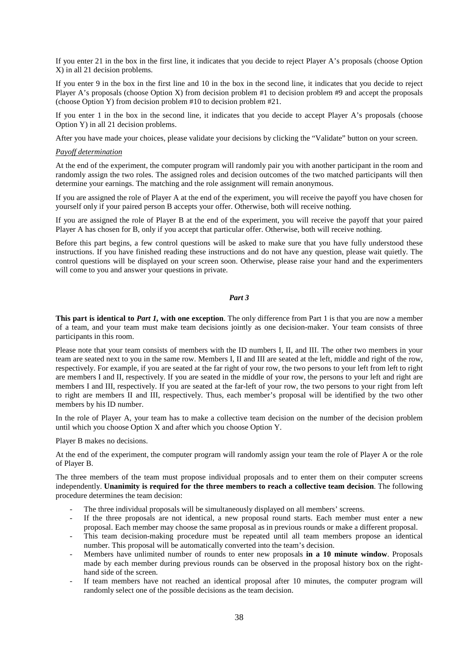If you enter 21 in the box in the first line, it indicates that you decide to reject Player A's proposals (choose Option X) in all 21 decision problems.

If you enter 9 in the box in the first line and 10 in the box in the second line, it indicates that you decide to reject Player A's proposals (choose Option X) from decision problem #1 to decision problem #9 and accept the proposals (choose Option Y) from decision problem #10 to decision problem #21.

If you enter 1 in the box in the second line, it indicates that you decide to accept Player A's proposals (choose Option Y) in all 21 decision problems.

After you have made your choices, please validate your decisions by clicking the "Validate" button on your screen.

#### *Payoff determination*

At the end of the experiment, the computer program will randomly pair you with another participant in the room and randomly assign the two roles. The assigned roles and decision outcomes of the two matched participants will then determine your earnings. The matching and the role assignment will remain anonymous.

If you are assigned the role of Player A at the end of the experiment, you will receive the payoff you have chosen for yourself only if your paired person B accepts your offer. Otherwise, both will receive nothing.

If you are assigned the role of Player B at the end of the experiment, you will receive the payoff that your paired Player A has chosen for B, only if you accept that particular offer. Otherwise, both will receive nothing.

Before this part begins, a few control questions will be asked to make sure that you have fully understood these instructions. If you have finished reading these instructions and do not have any question, please wait quietly. The control questions will be displayed on your screen soon. Otherwise, please raise your hand and the experimenters will come to you and answer your questions in private.

#### *Part 3*

**This part is identical to** *Part 1,* **with one exception**. The only difference from Part 1 is that you are now a member of a team, and your team must make team decisions jointly as one decision-maker. Your team consists of three participants in this room.

Please note that your team consists of members with the ID numbers I, II, and III. The other two members in your team are seated next to you in the same row. Members I, II and III are seated at the left, middle and right of the row, respectively. For example, if you are seated at the far right of your row, the two persons to your left from left to right are members I and II, respectively. If you are seated in the middle of your row, the persons to your left and right are members I and III, respectively. If you are seated at the far-left of your row, the two persons to your right from left to right are members II and III, respectively. Thus, each member's proposal will be identified by the two other members by his ID number.

In the role of Player A, your team has to make a collective team decision on the number of the decision problem until which you choose Option X and after which you choose Option Y.

Player B makes no decisions.

At the end of the experiment, the computer program will randomly assign your team the role of Player A or the role of Player B.

The three members of the team must propose individual proposals and to enter them on their computer screens independently. **Unanimity is required for the three members to reach a collective team decision**. The following procedure determines the team decision:

- The three individual proposals will be simultaneously displayed on all members' screens.
- If the three proposals are not identical, a new proposal round starts. Each member must enter a new proposal. Each member may choose the same proposal as in previous rounds or make a different proposal.
- This team decision-making procedure must be repeated until all team members propose an identical number. This proposal will be automatically converted into the team's decision.
- Members have unlimited number of rounds to enter new proposals **in a 10 minute window**. Proposals made by each member during previous rounds can be observed in the proposal history box on the righthand side of the screen.
- If team members have not reached an identical proposal after 10 minutes, the computer program will randomly select one of the possible decisions as the team decision.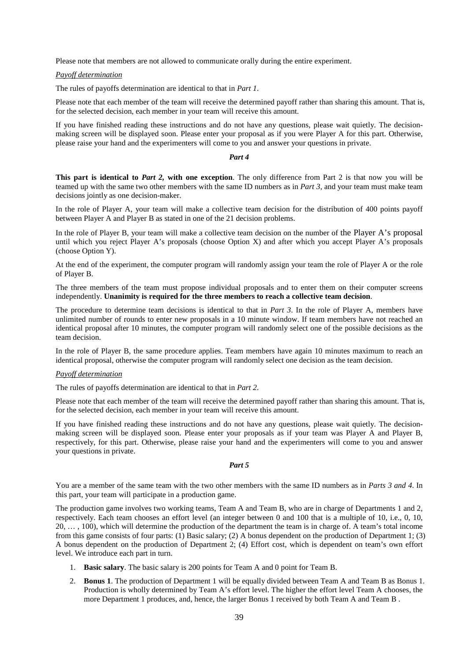Please note that members are not allowed to communicate orally during the entire experiment.

#### *Payoff determination*

The rules of payoffs determination are identical to that in *Part 1*.

Please note that each member of the team will receive the determined payoff rather than sharing this amount. That is, for the selected decision, each member in your team will receive this amount.

If you have finished reading these instructions and do not have any questions, please wait quietly. The decisionmaking screen will be displayed soon. Please enter your proposal as if you were Player A for this part. Otherwise, please raise your hand and the experimenters will come to you and answer your questions in private.

#### *Part 4*

**This part is identical to** *Part 2,* **with one exception**. The only difference from Part 2 is that now you will be teamed up with the same two other members with the same ID numbers as in *Part 3*, and your team must make team decisions jointly as one decision-maker.

In the role of Player A, your team will make a collective team decision for the distribution of 400 points payoff between Player A and Player B as stated in one of the 21 decision problems.

In the role of Player B, your team will make a collective team decision on the number of the Player A's proposal until which you reject Player A's proposals (choose Option X) and after which you accept Player A's proposals (choose Option Y).

At the end of the experiment, the computer program will randomly assign your team the role of Player A or the role of Player B.

The three members of the team must propose individual proposals and to enter them on their computer screens independently. **Unanimity is required for the three members to reach a collective team decision**.

The procedure to determine team decisions is identical to that in *Part 3*. In the role of Player A, members have unlimited number of rounds to enter new proposals in a 10 minute window. If team members have not reached an identical proposal after 10 minutes, the computer program will randomly select one of the possible decisions as the team decision.

In the role of Player B, the same procedure applies. Team members have again 10 minutes maximum to reach an identical proposal, otherwise the computer program will randomly select one decision as the team decision.

#### *Payoff determination*

The rules of payoffs determination are identical to that in *Part 2*.

Please note that each member of the team will receive the determined payoff rather than sharing this amount. That is, for the selected decision, each member in your team will receive this amount.

If you have finished reading these instructions and do not have any questions, please wait quietly. The decisionmaking screen will be displayed soon. Please enter your proposals as if your team was Player A and Player B, respectively, for this part. Otherwise, please raise your hand and the experimenters will come to you and answer your questions in private.

#### *Part 5*

You are a member of the same team with the two other members with the same ID numbers as in *Parts 3 and 4*. In this part, your team will participate in a production game.

The production game involves two working teams, Team A and Team B, who are in charge of Departments 1 and 2, respectively. Each team chooses an effort level (an integer between 0 and 100 that is a multiple of 10, i.e., 0, 10, 20, … , 100), which will determine the production of the department the team is in charge of. A team's total income from this game consists of four parts: (1) Basic salary; (2) A bonus dependent on the production of Department 1; (3) A bonus dependent on the production of Department 2; (4) Effort cost, which is dependent on team's own effort level. We introduce each part in turn.

- 1. **Basic salary**. The basic salary is 200 points for Team A and 0 point for Team B.
- 2. **Bonus 1**. The production of Department 1 will be equally divided between Team A and Team B as Bonus 1. Production is wholly determined by Team A's effort level. The higher the effort level Team A chooses, the more Department 1 produces, and, hence, the larger Bonus 1 received by both Team A and Team B .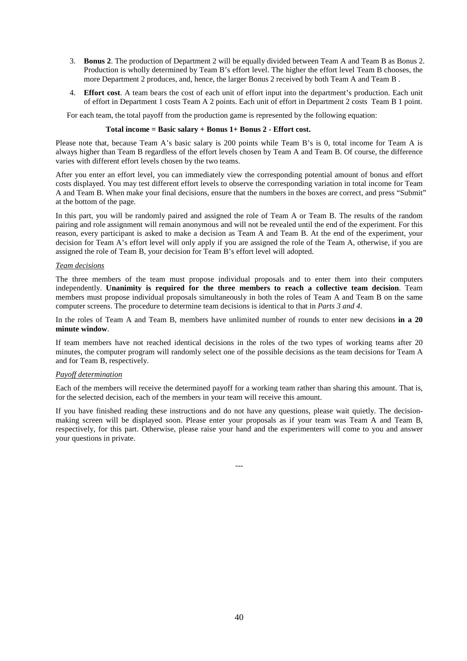- 3. **Bonus 2**. The production of Department 2 will be equally divided between Team A and Team B as Bonus 2. Production is wholly determined by Team B's effort level. The higher the effort level Team B chooses, the more Department 2 produces, and, hence, the larger Bonus 2 received by both Team A and Team B .
- 4. **Effort cost**. A team bears the cost of each unit of effort input into the department's production. Each unit of effort in Department 1 costs Team A 2 points. Each unit of effort in Department 2 costs Team B 1 point.

For each team, the total payoff from the production game is represented by the following equation:

#### **Total income = Basic salary + Bonus 1+ Bonus 2 - Effort cost.**

Please note that, because Team A's basic salary is 200 points while Team B's is 0, total income for Team A is always higher than Team B regardless of the effort levels chosen by Team A and Team B. Of course, the difference varies with different effort levels chosen by the two teams.

After you enter an effort level, you can immediately view the corresponding potential amount of bonus and effort costs displayed. You may test different effort levels to observe the corresponding variation in total income for Team A and Team B. When make your final decisions, ensure that the numbers in the boxes are correct, and press "Submit" at the bottom of the page.

In this part, you will be randomly paired and assigned the role of Team A or Team B. The results of the random pairing and role assignment will remain anonymous and will not be revealed until the end of the experiment. For this reason, every participant is asked to make a decision as Team A and Team B. At the end of the experiment, your decision for Team A's effort level will only apply if you are assigned the role of the Team A, otherwise, if you are assigned the role of Team B, your decision for Team B's effort level will adopted.

#### *Team decisions*

The three members of the team must propose individual proposals and to enter them into their computers independently. **Unanimity is required for the three members to reach a collective team decision**. Team members must propose individual proposals simultaneously in both the roles of Team A and Team B on the same computer screens. The procedure to determine team decisions is identical to that in *Parts 3 and 4*.

In the roles of Team A and Team B, members have unlimited number of rounds to enter new decisions **in a 20 minute window**.

If team members have not reached identical decisions in the roles of the two types of working teams after 20 minutes, the computer program will randomly select one of the possible decisions as the team decisions for Team A and for Team B, respectively.

#### *Payoff determination*

Each of the members will receive the determined payoff for a working team rather than sharing this amount. That is, for the selected decision, each of the members in your team will receive this amount.

If you have finished reading these instructions and do not have any questions, please wait quietly. The decisionmaking screen will be displayed soon. Please enter your proposals as if your team was Team A and Team B, respectively, for this part. Otherwise, please raise your hand and the experimenters will come to you and answer your questions in private.

---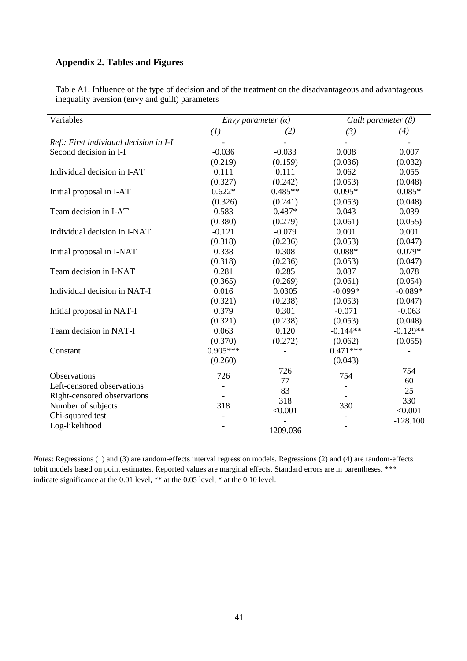## **Appendix 2. Tables and Figures**

| Variables                              |            | Envy parameter $(\alpha)$ | Guilt parameter $(\beta)$ |            |
|----------------------------------------|------------|---------------------------|---------------------------|------------|
|                                        | (1)        | (2)                       | (3)                       | (4)        |
| Ref.: First individual decision in I-I |            |                           |                           |            |
| Second decision in I-I                 | $-0.036$   | $-0.033$                  | 0.008                     | 0.007      |
|                                        | (0.219)    | (0.159)                   | (0.036)                   | (0.032)    |
| Individual decision in I-AT            | 0.111      | 0.111                     | 0.062                     | 0.055      |
|                                        | (0.327)    | (0.242)                   | (0.053)                   | (0.048)    |
| Initial proposal in I-AT               | $0.622*$   | $0.485**$                 | $0.095*$                  | $0.085*$   |
|                                        | (0.326)    | (0.241)                   | (0.053)                   | (0.048)    |
| Team decision in I-AT                  | 0.583      | $0.487*$                  | 0.043                     | 0.039      |
|                                        | (0.380)    | (0.279)                   | (0.061)                   | (0.055)    |
| Individual decision in I-NAT           | $-0.121$   | $-0.079$                  | 0.001                     | 0.001      |
|                                        | (0.318)    | (0.236)                   | (0.053)                   | (0.047)    |
| Initial proposal in I-NAT              | 0.338      | 0.308                     | $0.088*$                  | $0.079*$   |
|                                        | (0.318)    | (0.236)                   | (0.053)                   | (0.047)    |
| Team decision in I-NAT                 | 0.281      | 0.285                     | 0.087                     | 0.078      |
|                                        | (0.365)    | (0.269)                   | (0.061)                   | (0.054)    |
| Individual decision in NAT-I           | 0.016      | 0.0305                    | $-0.099*$                 | $-0.089*$  |
|                                        | (0.321)    | (0.238)                   | (0.053)                   | (0.047)    |
| Initial proposal in NAT-I              | 0.379      | 0.301                     | $-0.071$                  | $-0.063$   |
|                                        | (0.321)    | (0.238)                   | (0.053)                   | (0.048)    |
| Team decision in NAT-I                 | 0.063      | 0.120                     | $-0.144**$                | $-0.129**$ |
|                                        | (0.370)    | (0.272)                   | (0.062)                   | (0.055)    |
| Constant                               | $0.905***$ |                           | $0.471***$                |            |
|                                        | (0.260)    |                           | (0.043)                   |            |
| Observations                           | 726        | 726                       | 754                       | 754        |
| Left-censored observations             |            | 77                        |                           | 60         |
| Right-censored observations            |            | 83                        |                           | 25         |
| Number of subjects                     | 318        | 318                       | 330                       | 330        |
| Chi-squared test                       |            | < 0.001                   |                           | < 0.001    |
| Log-likelihood                         |            |                           |                           | $-128.100$ |
|                                        |            | 1209.036                  |                           |            |

Table A1. Influence of the type of decision and of the treatment on the disadvantageous and advantageous inequality aversion (envy and guilt) parameters

*Notes*: Regressions (1) and (3) are random-effects interval regression models. Regressions (2) and (4) are random-effects tobit models based on point estimates. Reported values are marginal effects. Standard errors are in parentheses. \*\*\* indicate significance at the 0.01 level, \*\* at the 0.05 level, \* at the 0.10 level.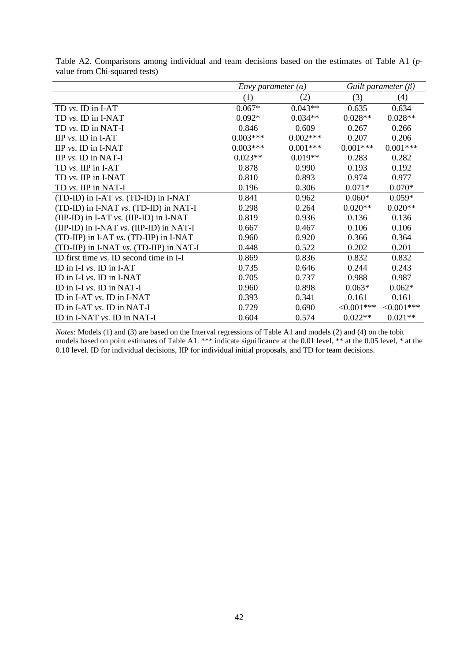|                                                 | Envy parameter $(\alpha)$ |            | Guilt parameter $(\beta)$ |             |
|-------------------------------------------------|---------------------------|------------|---------------------------|-------------|
|                                                 | (1)                       | (2)        | (3)                       | (4)         |
| TD vs. ID in I-AT                               | $0.067*$                  | $0.043**$  | 0.635                     | 0.634       |
| TD vs. ID in I-NAT                              | $0.092*$                  | $0.034**$  | $0.028**$                 | $0.028**$   |
| TD vs. ID in NAT-I                              | 0.846                     | 0.609      | 0.267                     | 0.266       |
| IIP $vs.$ ID in I-AT                            | $0.003***$                | $0.002***$ | 0.207                     | 0.206       |
| IIP $vs.$ ID in I-NAT                           | $0.003***$                | $0.001***$ | $0.001***$                | $0.001***$  |
| IIP $vs.$ ID in NAT-I                           | $0.023**$                 | $0.019**$  | 0.283                     | 0.282       |
| TD vs. IIP in I-AT                              | 0.878                     | 0.990      | 0.193                     | 0.192       |
| TD vs. IIP in I-NAT                             | 0.810                     | 0.893      | 0.974                     | 0.977       |
| TD vs. IIP in NAT-I                             | 0.196                     | 0.306      | $0.071*$                  | $0.070*$    |
| (TD-ID) in I-AT vs. (TD-ID) in I-NAT            | 0.841                     | 0.962      | $0.060*$                  | $0.059*$    |
| (TD-ID) in I-NAT vs. (TD-ID) in NAT-I           | 0.298                     | 0.264      | $0.020**$                 | $0.020**$   |
| (IIP-ID) in I-AT $vs.$ (IIP-ID) in I-NAT        | 0.819                     | 0.936      | 0.136                     | 0.136       |
| (IIP-ID) in I-NAT vs. (IIP-ID) in NAT-I         | 0.667                     | 0.467      | 0.106                     | 0.106       |
| (TD-IIP) in I-AT vs. (TD-IIP) in I-NAT          | 0.960                     | 0.920      | 0.366                     | 0.364       |
| (TD-IIP) in I-NAT vs. (TD-IIP) in NAT-I         | 0.448                     | 0.522      | 0.202                     | 0.201       |
| ID first time <i>vs</i> . ID second time in I-I | 0.869                     | 0.836      | 0.832                     | 0.832       |
| ID in I-I vs. ID in I-AT                        | 0.735                     | 0.646      | 0.244                     | 0.243       |
| ID in I-I vs. ID in I-NAT                       | 0.705                     | 0.737      | 0.988                     | 0.987       |
| ID in I-I vs. ID in NAT-I                       | 0.960                     | 0.898      | $0.063*$                  | $0.062*$    |
| ID in I-AT vs. ID in I-NAT                      | 0.393                     | 0.341      | 0.161                     | 0.161       |
| ID in I-AT vs. ID in NAT-I                      | 0.729                     | 0.690      | $< 0.001$ ***             | $<0.001***$ |
| ID in I-NAT vs. ID in NAT-I                     | 0.604                     | 0.574      | $0.022**$                 | $0.021**$   |

Table A2. Comparisons among individual and team decisions based on the estimates of Table A1 (*p*value from Chi-squared tests)

*Notes*: Models (1) and (3) are based on the Interval regressions of Table A1 and models (2) and (4) on the tobit models based on point estimates of Table A1. \*\*\* indicate significance at the 0.01 level, \*\* at the 0.05 level, \* at the 0.10 level. ID for individual decisions, IIP for individual initial proposals, and TD for team decisions.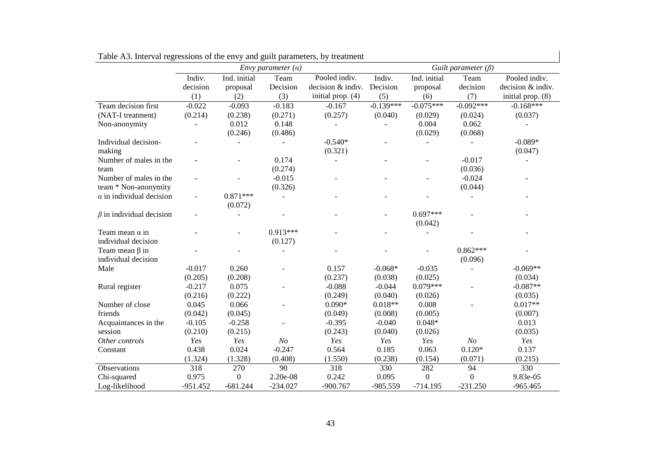|                                 | Envy parameter $(a)$     |                  |                          | Guilt parameter $(\beta)$ |             |              |                |                      |
|---------------------------------|--------------------------|------------------|--------------------------|---------------------------|-------------|--------------|----------------|----------------------|
|                                 | Indiv.                   | Ind. initial     | Team                     | Pooled indiv.             | Indiv.      | Ind. initial | Team           | Pooled indiv.        |
|                                 | decision                 | proposal         | Decision                 | decision & indiv.         | Decision    | proposal     | decision       | decision & indiv.    |
|                                 | (1)                      | (2)              | (3)                      | initial prop. (4)         | (5)         | (6)          | (7)            | initial prop. (8)    |
| Team decision first             | $-0.022$                 | $-0.093$         | $-0.183$                 | $-0.167$                  | $-0.139***$ | $-0.075***$  | $-0.092***$    | $-0.168***$          |
| (NAT-I treatment)               | (0.214)                  | (0.238)          | (0.271)                  | (0.257)                   | (0.040)     | (0.029)      | (0.024)        | (0.037)              |
| Non-anonymity                   | $\overline{\phantom{a}}$ | 0.012            | 0.148                    |                           |             | 0.004        | 0.062          |                      |
|                                 |                          | (0.246)          | (0.486)                  |                           |             | (0.029)      | (0.068)        |                      |
| Individual decision-<br>making  |                          | $\overline{a}$   | $\overline{\phantom{a}}$ | $-0.540*$<br>(0.321)      |             |              |                | $-0.089*$<br>(0.047) |
| Number of males in the          |                          |                  | 0.174                    | ÷                         |             |              | $-0.017$       |                      |
| team                            |                          |                  | (0.274)                  |                           |             |              | (0.036)        |                      |
| Number of males in the          |                          |                  | $-0.015$                 |                           |             |              | $-0.024$       |                      |
| team * Non-anonymity            |                          |                  | (0.326)                  |                           |             |              | (0.044)        |                      |
| $\alpha$ in individual decision | $\blacksquare$           | $0.871***$       |                          |                           |             |              |                |                      |
|                                 |                          | (0.072)          |                          |                           |             |              |                |                      |
| $\beta$ in individual decision  | ÷,                       |                  |                          |                           |             | $0.697***$   |                |                      |
|                                 |                          |                  |                          |                           |             | (0.042)      |                |                      |
| Team mean $\alpha$ in           |                          |                  | $0.913***$               |                           |             |              |                |                      |
| individual decision             |                          |                  | (0.127)                  |                           |             |              |                |                      |
| Team mean $\beta$ in            |                          |                  |                          |                           |             |              | $0.862***$     |                      |
| individual decision             |                          |                  |                          |                           |             |              | (0.096)        |                      |
| Male                            | $-0.017$                 | 0.260            |                          | 0.157                     | $-0.068*$   | $-0.035$     |                | $-0.069**$           |
|                                 | (0.205)                  | (0.208)          |                          | (0.237)                   | (0.038)     | (0.025)      |                | (0.034)              |
| Rural register                  | $-0.217$                 | 0.075            |                          | $-0.088$                  | $-0.044$    | $0.079***$   |                | $-0.087**$           |
|                                 | (0.216)                  | (0.222)          |                          | (0.249)                   | (0.040)     | (0.026)      |                | (0.035)              |
| Number of close                 | 0.045                    | 0.066            |                          | $0.090*$                  | $0.018**$   | 0.008        |                | $0.017**$            |
| friends                         | (0.042)                  | (0.045)          |                          | (0.049)                   | (0.008)     | (0.005)      |                | (0.007)              |
| Acquaintances in the            | $-0.105$                 | $-0.258$         |                          | $-0.395$                  | $-0.040$    | $0.048*$     |                | 0.013                |
| session                         | (0.210)                  | (0.215)          |                          | (0.243)                   | (0.040)     | (0.026)      |                | (0.035)              |
| Other controls                  | Yes                      | Yes              | N <sub>O</sub>           | Yes                       | Yes         | Yes          | N <sub>O</sub> | Yes                  |
| Constant                        | 0.438                    | 0.024            | $-0.247$                 | 0.564                     | 0.185       | 0.063        | $0.120*$       | 0.137                |
|                                 | (1.324)                  | (1.328)          | (0.408)                  | (1.550)                   | (0.238)     | (0.154)      | (0.071)        | (0.215)              |
| Observations                    | 318                      | 270              | 90                       | 318                       | 330         | 282          | 94             | 330                  |
| Chi-squared                     | 0.975                    | $\boldsymbol{0}$ | 2.20e-08                 | 0.242                     | 0.095       | $\theta$     | $\mathbf{0}$   | 9.83e-05             |
| Log-likelihood                  | $-951.452$               | $-681.244$       | $-234.027$               | $-900.767$                | -985.559    | $-714.195$   | $-231.250$     | $-965.465$           |

Table A3. Interval regressions of the envy and guilt parameters, by treatment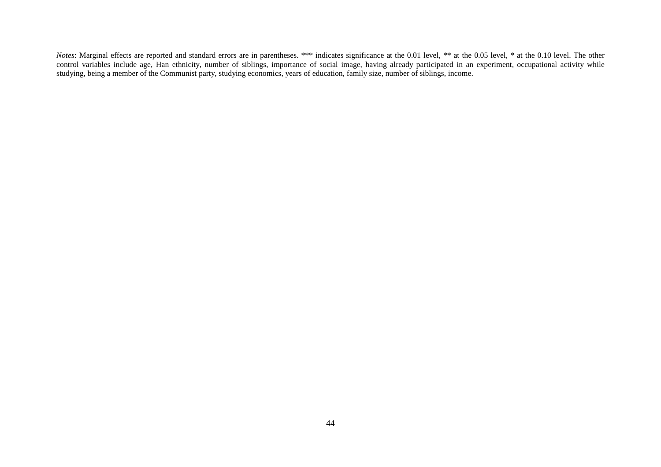*Notes*: Marginal effects are reported and standard errors are in parentheses. \*\*\* indicates significance at the 0.01 level, \*\* at the 0.05 level, \* at the 0.10 level. The other control variables include age, Han ethnicity, number of siblings, importance of social image, having already participated in an experiment, occupational activity while studying, being a member of the Communist party, studying economics, years of education, family size, number of siblings, income.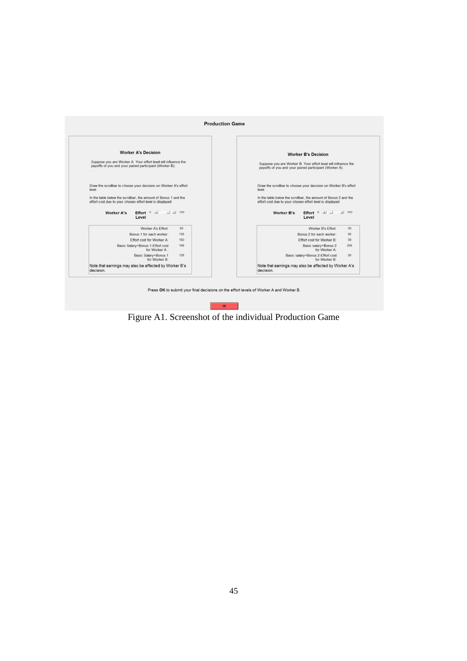

Figure A1. Screenshot of the individual Production Game